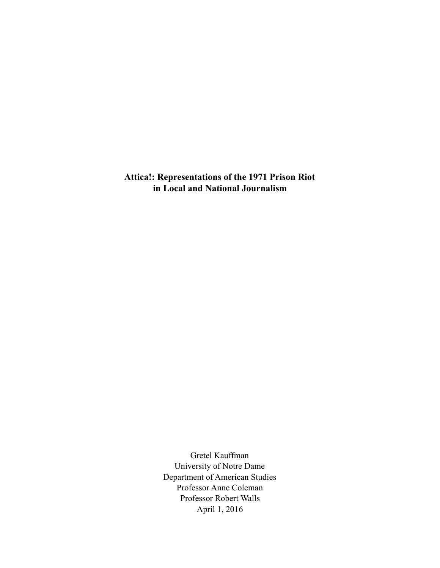**Attica!: Representations of the 1971 Prison Riot in Local and National Journalism** 

> Gretel Kauffman University of Notre Dame Department of American Studies Professor Anne Coleman Professor Robert Walls April 1, 2016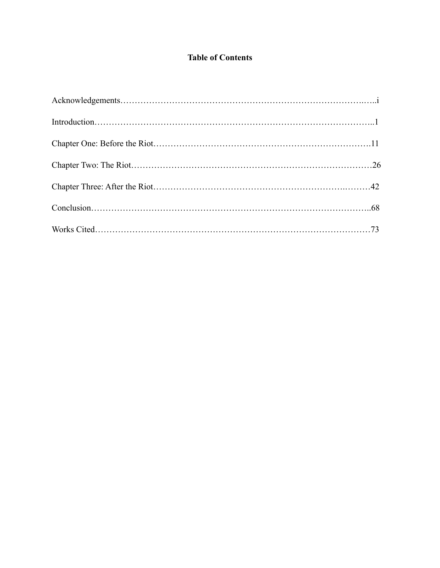# **Table of Contents**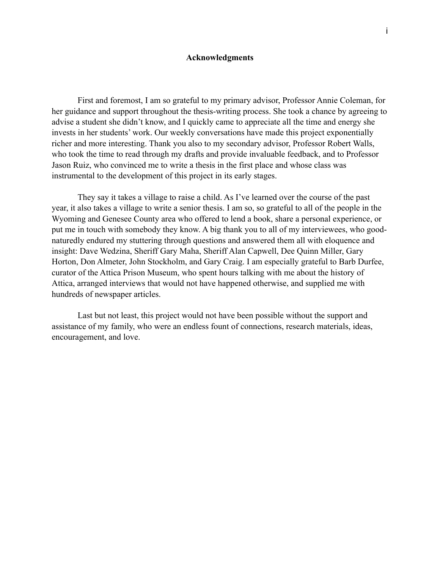### **Acknowledgments**

First and foremost, I am so grateful to my primary advisor, Professor Annie Coleman, for her guidance and support throughout the thesis-writing process. She took a chance by agreeing to advise a student she didn't know, and I quickly came to appreciate all the time and energy she invests in her students' work. Our weekly conversations have made this project exponentially richer and more interesting. Thank you also to my secondary advisor, Professor Robert Walls, who took the time to read through my drafts and provide invaluable feedback, and to Professor Jason Ruiz, who convinced me to write a thesis in the first place and whose class was instrumental to the development of this project in its early stages.

 They say it takes a village to raise a child. As I've learned over the course of the past year, it also takes a village to write a senior thesis. I am so, so grateful to all of the people in the Wyoming and Genesee County area who offered to lend a book, share a personal experience, or put me in touch with somebody they know. A big thank you to all of my interviewees, who goodnaturedly endured my stuttering through questions and answered them all with eloquence and insight: Dave Wedzina, Sheriff Gary Maha, Sheriff Alan Capwell, Dee Quinn Miller, Gary Horton, Don Almeter, John Stockholm, and Gary Craig. I am especially grateful to Barb Durfee, curator of the Attica Prison Museum, who spent hours talking with me about the history of Attica, arranged interviews that would not have happened otherwise, and supplied me with hundreds of newspaper articles.

 Last but not least, this project would not have been possible without the support and assistance of my family, who were an endless fount of connections, research materials, ideas, encouragement, and love.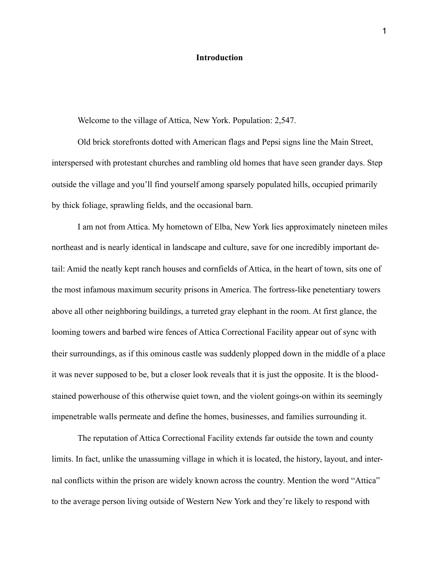### **Introduction**

Welcome to the village of Attica, New York. Population: 2,547.

 Old brick storefronts dotted with American flags and Pepsi signs line the Main Street, interspersed with protestant churches and rambling old homes that have seen grander days. Step outside the village and you'll find yourself among sparsely populated hills, occupied primarily by thick foliage, sprawling fields, and the occasional barn.

 I am not from Attica. My hometown of Elba, New York lies approximately nineteen miles northeast and is nearly identical in landscape and culture, save for one incredibly important detail: Amid the neatly kept ranch houses and cornfields of Attica, in the heart of town, sits one of the most infamous maximum security prisons in America. The fortress-like penetentiary towers above all other neighboring buildings, a turreted gray elephant in the room. At first glance, the looming towers and barbed wire fences of Attica Correctional Facility appear out of sync with their surroundings, as if this ominous castle was suddenly plopped down in the middle of a place it was never supposed to be, but a closer look reveals that it is just the opposite. It is the bloodstained powerhouse of this otherwise quiet town, and the violent goings-on within its seemingly impenetrable walls permeate and define the homes, businesses, and families surrounding it.

 The reputation of Attica Correctional Facility extends far outside the town and county limits. In fact, unlike the unassuming village in which it is located, the history, layout, and internal conflicts within the prison are widely known across the country. Mention the word "Attica" to the average person living outside of Western New York and they're likely to respond with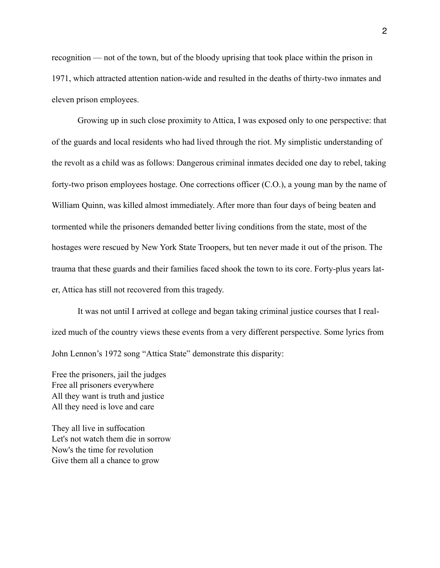recognition — not of the town, but of the bloody uprising that took place within the prison in 1971, which attracted attention nation-wide and resulted in the deaths of thirty-two inmates and eleven prison employees.

 Growing up in such close proximity to Attica, I was exposed only to one perspective: that of the guards and local residents who had lived through the riot. My simplistic understanding of the revolt as a child was as follows: Dangerous criminal inmates decided one day to rebel, taking forty-two prison employees hostage. One corrections officer (C.O.), a young man by the name of William Quinn, was killed almost immediately. After more than four days of being beaten and tormented while the prisoners demanded better living conditions from the state, most of the hostages were rescued by New York State Troopers, but ten never made it out of the prison. The trauma that these guards and their families faced shook the town to its core. Forty-plus years later, Attica has still not recovered from this tragedy.

 It was not until I arrived at college and began taking criminal justice courses that I realized much of the country views these events from a very different perspective. Some lyrics from John Lennon's 1972 song "Attica State" demonstrate this disparity:

Free the prisoners, jail the judges Free all prisoners everywhere All they want is truth and justice All they need is love and care

They all live in suffocation Let's not watch them die in sorrow Now's the time for revolution Give them all a chance to grow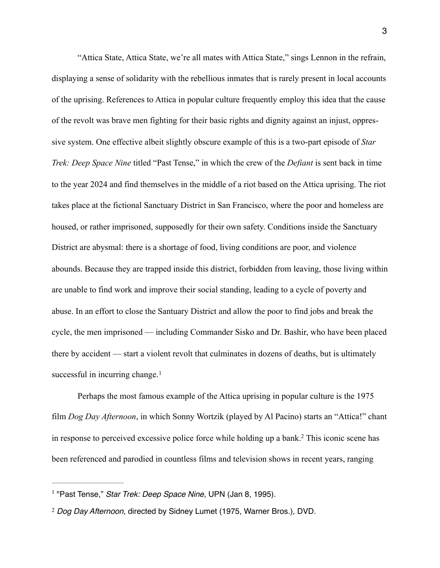"Attica State, Attica State, we're all mates with Attica State," sings Lennon in the refrain, displaying a sense of solidarity with the rebellious inmates that is rarely present in local accounts of the uprising. References to Attica in popular culture frequently employ this idea that the cause of the revolt was brave men fighting for their basic rights and dignity against an injust, oppressive system. One effective albeit slightly obscure example of this is a two-part episode of *Star Trek: Deep Space Nine* titled "Past Tense," in which the crew of the *Defiant* is sent back in time to the year 2024 and find themselves in the middle of a riot based on the Attica uprising. The riot takes place at the fictional Sanctuary District in San Francisco, where the poor and homeless are housed, or rather imprisoned, supposedly for their own safety. Conditions inside the Sanctuary District are abysmal: there is a shortage of food, living conditions are poor, and violence abounds. Because they are trapped inside this district, forbidden from leaving, those living within are unable to find work and improve their social standing, leading to a cycle of poverty and abuse. In an effort to close the Santuary District and allow the poor to find jobs and break the cycle, the men imprisoned — including Commander Sisko and Dr. Bashir, who have been placed there by accident — start a violent revolt that culminates in dozens of deaths, but is ultimately successful in incurring change.<sup>[1](#page-5-0)</sup>

<span id="page-5-2"></span> Perhaps the most famous example of the Attica uprising in popular culture is the 1975 film *Dog Day Afternoon*, in which Sonny Wortzik (played by Al Pacino) starts an "Attica!" chant in response to perceived excessive police force while holding up a bank[.](#page-5-1)<sup>[2](#page-5-1)</sup> This iconic scene has been referenced and parodied in countless films and television shows in recent years, ranging

<span id="page-5-3"></span><span id="page-5-0"></span><sup>&</sup>lt;sup>[1](#page-5-2)</sup> "Past Tense," *Star Trek: Deep Space Nine*, UPN (Jan 8, 1995).

<span id="page-5-1"></span>*Dog Day Afternoon,* directed by Sidney Lumet (1975, Warner Bros.), DVD. [2](#page-5-3)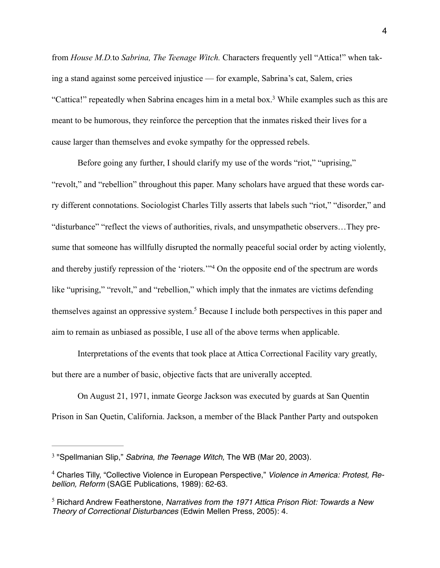<span id="page-6-3"></span>from *House M.D.*to *Sabrina, The Teenage Witch.* Characters frequently yell "Attica!" when taking a stand against some perceived injustice — for example, Sabrina's cat, Salem, cries "Cattica!" repeatedly when Sabrina encages him in a metal box[.](#page-6-0)<sup>[3](#page-6-0)</sup> While examples such as this are meant to be humorous, they reinforce the perception that the inmates risked their lives for a cause larger than themselves and evoke sympathy for the oppressed rebels.

Before going any further, I should clarify my use of the words "riot," "uprising," "revolt," and "rebellion" throughout this paper. Many scholars have argued that these words carry different connotations. Sociologist Charles Tilly asserts that labels such "riot," "disorder," and "disturbance" "reflect the views of authorities, rivals, and unsympathetic observers…They presume that someone has willfully disrupted the normally peaceful social order by acting violently, andthereby justify repression of the 'rioters."<sup>[4](#page-6-1)</sup> On the opposite end of the spectrum are words like "uprising," "revolt," and "rebellion," which imply that the inmates are victims defending themselves against an oppressive system[.](#page-6-2)<sup>[5](#page-6-2)</sup> Because I include both perspectives in this paper and aim to remain as unbiased as possible, I use all of the above terms when applicable.

<span id="page-6-5"></span><span id="page-6-4"></span> Interpretations of the events that took place at Attica Correctional Facility vary greatly, but there are a number of basic, objective facts that are univerally accepted.

 On August 21, 1971, inmate George Jackson was executed by guards at San Quentin Prison in San Quetin, California. Jackson, a member of the Black Panther Party and outspoken

<span id="page-6-0"></span><sup>&</sup>lt;sup>[3](#page-6-3)</sup> "Spellmanian Slip," *Sabrina, the Teenage Witch, The WB (Mar 20, 2003).* 

<span id="page-6-1"></span><sup>&</sup>lt;sup>[4](#page-6-4)</sup> Charles Tilly, "Collective Violence in European Perspective," Violence in America: Protest, Re*bellion, Reform* (SAGE Publications, 1989): 62-63.

<span id="page-6-2"></span>Richard Andrew Featherstone, *Narratives from the 1971 Attica Prison Riot: Towards a New* [5](#page-6-5) *Theory of Correctional Disturbances* (Edwin Mellen Press, 2005): 4.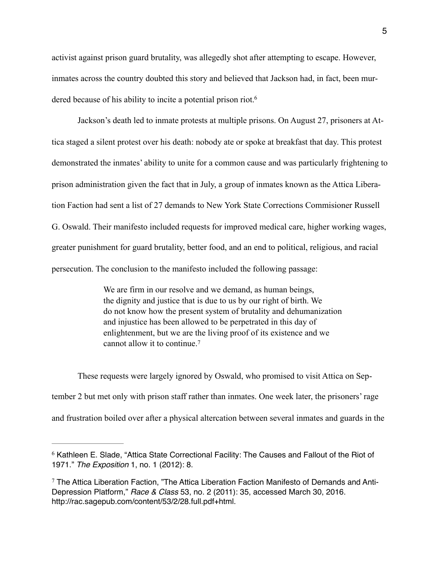activist against prison guard brutality, was allegedly shot after attempting to escape. However, inmates across the country doubted this story and believed that Jackson had, in fact, been murdered because of his ability to incite a potential prison riot.<sup>6</sup>

<span id="page-7-2"></span> Jackson's death led to inmate protests at multiple prisons. On August 27, prisoners at Attica staged a silent protest over his death: nobody ate or spoke at breakfast that day. This protest demonstrated the inmates' ability to unite for a common cause and was particularly frightening to prison administration given the fact that in July, a group of inmates known as the Attica Liberation Faction had sent a list of 27 demands to New York State Corrections Commisioner Russell G. Oswald. Their manifesto included requests for improved medical care, higher working wages, greater punishment for guard brutality, better food, and an end to political, religious, and racial persecution. The conclusion to the manifesto included the following passage:

> <span id="page-7-3"></span>We are firm in our resolve and we demand, as human beings, the dignity and justice that is due to us by our right of birth. We do not know how the present system of brutality and dehumanization and injustice has been allowed to be perpetrated in this day of enlightenment, but we are the living proof of its existence and we cannot allow it to continue.[7](#page-7-1)

 These requests were largely ignored by Oswald, who promised to visit Attica on September 2 but met only with prison staff rather than inmates. One week later, the prisoners' rage and frustration boiled over after a physical altercation between several inmates and guards in the

<span id="page-7-0"></span> $6$  Kathleen E. Slade, "Attica State Correctional Facility: The Causes and Fallout of the Riot of 1971." *The Exposition* 1, no. 1 (2012): 8.

<span id="page-7-1"></span> $7$  The Attica Liberation Faction, "The Attica Liberation Faction Manifesto of Demands and Anti-Depression Platform," *Race & Class* 53, no. 2 (2011): 35, accessed March 30, 2016. http://rac.sagepub.com/content/53/2/28.full.pdf+html.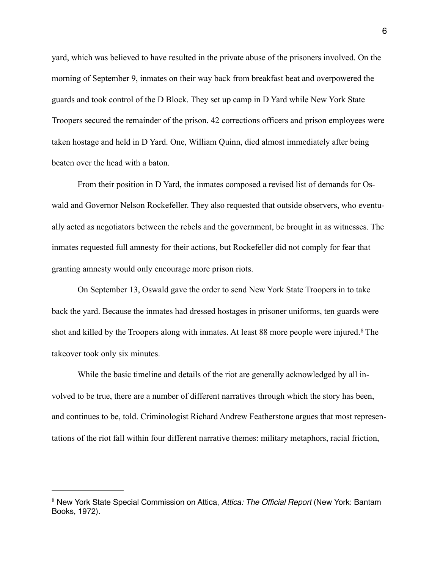yard, which was believed to have resulted in the private abuse of the prisoners involved. On the morning of September 9, inmates on their way back from breakfast beat and overpowered the guards and took control of the D Block. They set up camp in D Yard while New York State Troopers secured the remainder of the prison. 42 corrections officers and prison employees were taken hostage and held in D Yard. One, William Quinn, died almost immediately after being beaten over the head with a baton.

 From their position in D Yard, the inmates composed a revised list of demands for Oswald and Governor Nelson Rockefeller. They also requested that outside observers, who eventually acted as negotiators between the rebels and the government, be brought in as witnesses. The inmates requested full amnesty for their actions, but Rockefeller did not comply for fear that granting amnesty would only encourage more prison riots.

 On September 13, Oswald gave the order to send New York State Troopers in to take back the yard. Because the inmates had dressed hostages in prisoner uniforms, ten guards were shotand killed by the Troopers along with inmates. At least [8](#page-8-0)8 more people were injured.<sup>8</sup> The takeover took only six minutes.

<span id="page-8-1"></span> While the basic timeline and details of the riot are generally acknowledged by all involved to be true, there are a number of different narratives through which the story has been, and continues to be, told. Criminologist Richard Andrew Featherstone argues that most representations of the riot fall within four different narrative themes: military metaphors, racial friction,

<span id="page-8-0"></span>New York State Special Commission on Attica, *Attica: The Official Report* (New York: Bantam [8](#page-8-1) Books, 1972).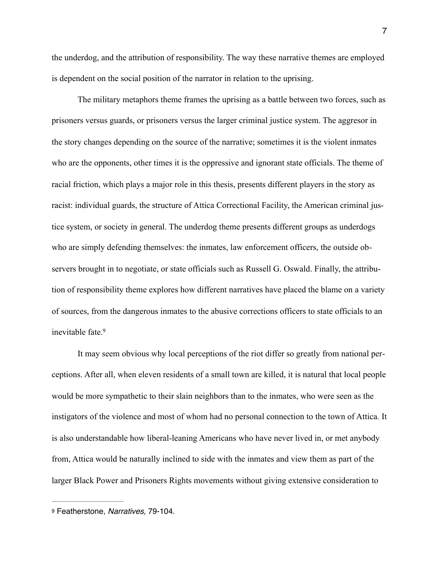the underdog, and the attribution of responsibility. The way these narrative themes are employed is dependent on the social position of the narrator in relation to the uprising.

 The military metaphors theme frames the uprising as a battle between two forces, such as prisoners versus guards, or prisoners versus the larger criminal justice system. The aggresor in the story changes depending on the source of the narrative; sometimes it is the violent inmates who are the opponents, other times it is the oppressive and ignorant state officials. The theme of racial friction, which plays a major role in this thesis, presents different players in the story as racist: individual guards, the structure of Attica Correctional Facility, the American criminal justice system, or society in general. The underdog theme presents different groups as underdogs who are simply defending themselves: the inmates, law enforcement officers, the outside observers brought in to negotiate, or state officials such as Russell G. Oswald. Finally, the attribution of responsibility theme explores how different narratives have placed the blame on a variety of sources, from the dangerous inmates to the abusive corrections officers to state officials to an inevitable fate[.9](#page-9-0)

<span id="page-9-1"></span> It may seem obvious why local perceptions of the riot differ so greatly from national perceptions. After all, when eleven residents of a small town are killed, it is natural that local people would be more sympathetic to their slain neighbors than to the inmates, who were seen as the instigators of the violence and most of whom had no personal connection to the town of Attica. It is also understandable how liberal-leaning Americans who have never lived in, or met anybody from, Attica would be naturally inclined to side with the inmates and view them as part of the larger Black Power and Prisoners Rights movements without giving extensive consideration to

<span id="page-9-0"></span>[<sup>9</sup>](#page-9-1) Featherstone, *Narratives*, 79-104.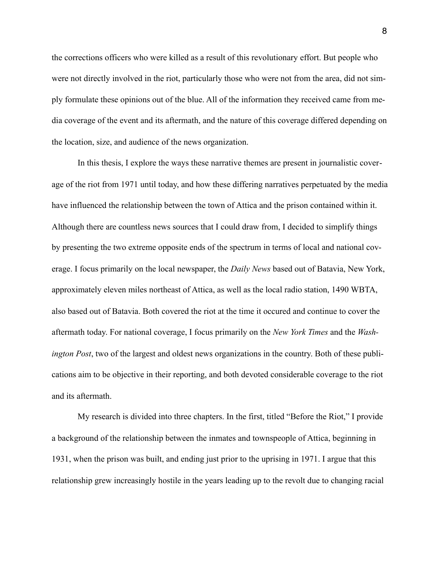the corrections officers who were killed as a result of this revolutionary effort. But people who were not directly involved in the riot, particularly those who were not from the area, did not simply formulate these opinions out of the blue. All of the information they received came from media coverage of the event and its aftermath, and the nature of this coverage differed depending on the location, size, and audience of the news organization.

 In this thesis, I explore the ways these narrative themes are present in journalistic coverage of the riot from 1971 until today, and how these differing narratives perpetuated by the media have influenced the relationship between the town of Attica and the prison contained within it. Although there are countless news sources that I could draw from, I decided to simplify things by presenting the two extreme opposite ends of the spectrum in terms of local and national coverage. I focus primarily on the local newspaper, the *Daily News* based out of Batavia, New York, approximately eleven miles northeast of Attica, as well as the local radio station, 1490 WBTA, also based out of Batavia. Both covered the riot at the time it occured and continue to cover the aftermath today. For national coverage, I focus primarily on the *New York Times* and the *Washington Post*, two of the largest and oldest news organizations in the country. Both of these publications aim to be objective in their reporting, and both devoted considerable coverage to the riot and its aftermath.

 My research is divided into three chapters. In the first, titled "Before the Riot," I provide a background of the relationship between the inmates and townspeople of Attica, beginning in 1931, when the prison was built, and ending just prior to the uprising in 1971. I argue that this relationship grew increasingly hostile in the years leading up to the revolt due to changing racial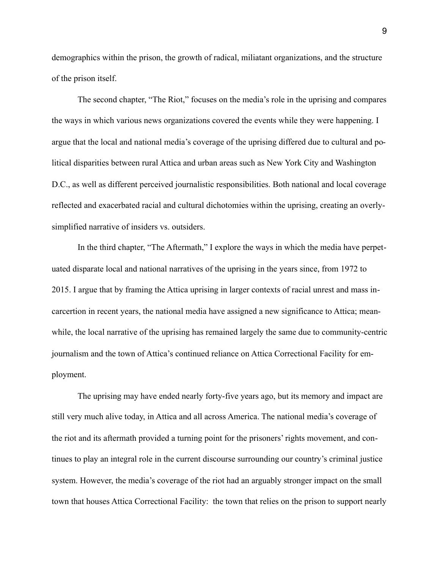demographics within the prison, the growth of radical, miliatant organizations, and the structure of the prison itself.

 The second chapter, "The Riot," focuses on the media's role in the uprising and compares the ways in which various news organizations covered the events while they were happening. I argue that the local and national media's coverage of the uprising differed due to cultural and political disparities between rural Attica and urban areas such as New York City and Washington D.C., as well as different perceived journalistic responsibilities. Both national and local coverage reflected and exacerbated racial and cultural dichotomies within the uprising, creating an overlysimplified narrative of insiders vs. outsiders.

 In the third chapter, "The Aftermath," I explore the ways in which the media have perpetuated disparate local and national narratives of the uprising in the years since, from 1972 to 2015. I argue that by framing the Attica uprising in larger contexts of racial unrest and mass incarcertion in recent years, the national media have assigned a new significance to Attica; meanwhile, the local narrative of the uprising has remained largely the same due to community-centric journalism and the town of Attica's continued reliance on Attica Correctional Facility for employment.

 The uprising may have ended nearly forty-five years ago, but its memory and impact are still very much alive today, in Attica and all across America. The national media's coverage of the riot and its aftermath provided a turning point for the prisoners' rights movement, and continues to play an integral role in the current discourse surrounding our country's criminal justice system. However, the media's coverage of the riot had an arguably stronger impact on the small town that houses Attica Correctional Facility: the town that relies on the prison to support nearly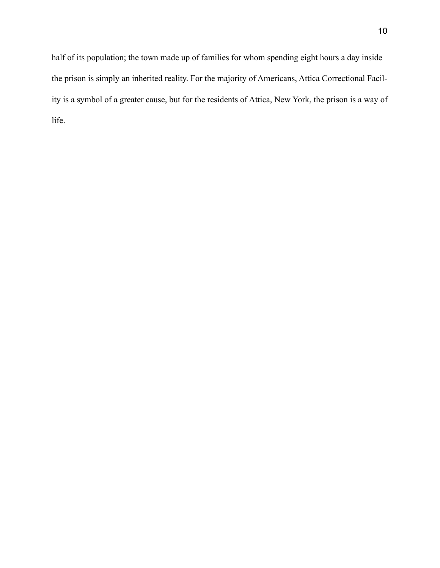half of its population; the town made up of families for whom spending eight hours a day inside the prison is simply an inherited reality. For the majority of Americans, Attica Correctional Facility is a symbol of a greater cause, but for the residents of Attica, New York, the prison is a way of life.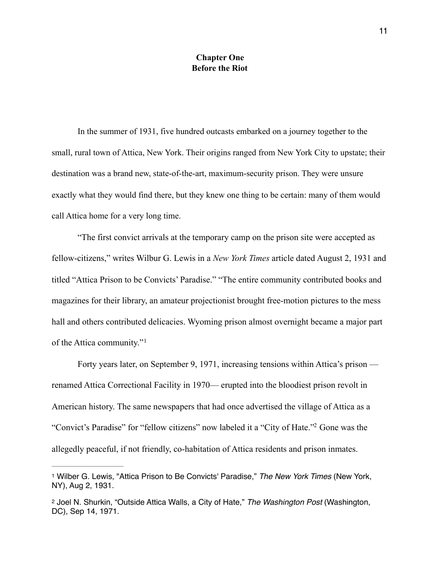## **Chapter One Before the Riot**

 In the summer of 1931, five hundred outcasts embarked on a journey together to the small, rural town of Attica, New York. Their origins ranged from New York City to upstate; their destination was a brand new, state-of-the-art, maximum-security prison. They were unsure exactly what they would find there, but they knew one thing to be certain: many of them would call Attica home for a very long time.

 "The first convict arrivals at the temporary camp on the prison site were accepted as fellow-citizens," writes Wilbur G. Lewis in a *New York Times* article dated August 2, 1931 and titled "Attica Prison to be Convicts' Paradise." "The entire community contributed books and magazines for their library, an amateur projectionist brought free-motion pictures to the mess hall and others contributed delicacies. Wyoming prison almost overnight became a major part of the Attica community."[1](#page-13-0)

<span id="page-13-2"></span> Forty years later, on September 9, 1971, increasing tensions within Attica's prison renamed Attica Correctional Facility in 1970— erupted into the bloodiest prison revolt in American history. The same newspapers that had once advertised the village of Attica as a "Convict's Paradise["](#page-13-1) for "fellow citizens" now labeled it a "City of Hate."<sup>[2](#page-13-1)</sup> Gone was the allegedly peaceful, if not friendly, co-habitation of Attica residents and prison inmates.

<span id="page-13-3"></span><span id="page-13-0"></span>[<sup>1</sup>](#page-13-2) Wilber G. Lewis, "Attica Prison to Be Convicts' Paradise," *The New York Times* (New York, NY), Aug 2, 1931.

<span id="page-13-1"></span>[<sup>2</sup>](#page-13-3) Joel N. Shurkin, "Outside Attica Walls, a City of Hate," *The Washington Post* (Washington, DC), Sep 14, 1971.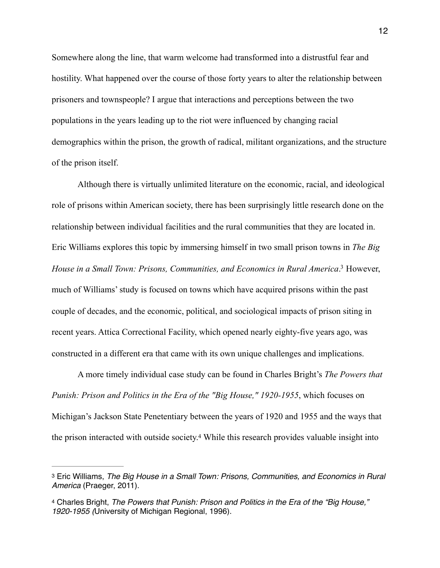Somewhere along the line, that warm welcome had transformed into a distrustful fear and hostility. What happened over the course of those forty years to alter the relationship between prisoners and townspeople? I argue that interactions and perceptions between the two populations in the years leading up to the riot were influenced by changing racial demographics within the prison, the growth of radical, militant organizations, and the structure of the prison itself.

<span id="page-14-2"></span> Although there is virtually unlimited literature on the economic, racial, and ideological role of prisons within American society, there has been surprisingly little research done on the relationship between individual facilities and the rural communities that they are located in. Eric Williams explores this topic by immersing himself in two small prison towns in *The Big House in a Small Town: Prisons, Communities, and Economics in Rural America*.<sup>[3](#page-14-0)</sup> However, much of Williams' study is focused on towns which have acquired prisons within the past couple of decades, and the economic, political, and sociological impacts of prison siting in recent years. Attica Correctional Facility, which opened nearly eighty-five years ago, was constructed in a different era that came with its own unique challenges and implications.

 A more timely individual case study can be found in Charles Bright's *The Powers that Punish: Prison and Politics in the Era of the "Big House," 1920-1955*, which focuses on Michigan's Jackson State Penetentiary between the years of 1920 and 1955 and the ways that the prison interacted with outside society[.](#page-14-1)<sup>[4](#page-14-1)</sup> While this research provides valuable insight into

<span id="page-14-3"></span><span id="page-14-0"></span>[<sup>3</sup>](#page-14-2) Eric Williams, *The Big House in a Small Town: Prisons, Communities, and Economics in Rural America* (Praeger, 2011).

<span id="page-14-1"></span>[<sup>4</sup>](#page-14-3) Charles Bright, *The Powers that Punish: Prison and Politics in the Era of the "Big House," 1920-1955 (*University of Michigan Regional, 1996).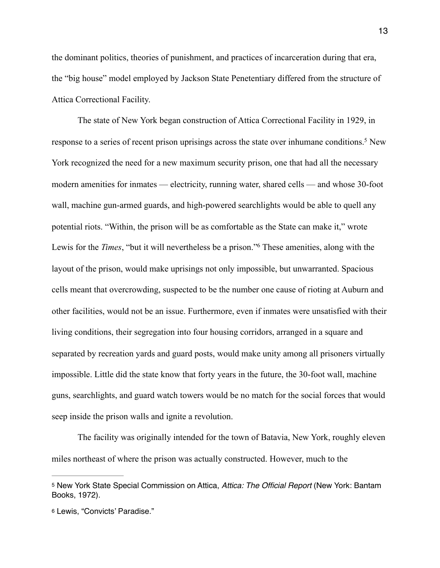the dominant politics, theories of punishment, and practices of incarceration during that era, the "big house" model employed by Jackson State Penetentiary differed from the structure of Attica Correctional Facility.

<span id="page-15-3"></span><span id="page-15-2"></span> The state of New York began construction of Attica Correctional Facility in 1929, in response to a series of recent prison uprisings across the state over inhumane conditions[.](#page-15-0)<sup>[5](#page-15-0)</sup> New York recognized the need for a new maximum security prison, one that had all the necessary modern amenities for inmates — electricity, running water, shared cells — and whose 30-foot wall, machine gun-armed guards, and high-powered searchlights would be able to quell any potential riots. "Within, the prison will be as comfortable as the State can make it," wrote Lewis for the *Times*, ["](#page-15-1)but it will nevertheless be a prison."<sup>[6](#page-15-1)</sup> These amenities, along with the layout of the prison, would make uprisings not only impossible, but unwarranted. Spacious cells meant that overcrowding, suspected to be the number one cause of rioting at Auburn and other facilities, would not be an issue. Furthermore, even if inmates were unsatisfied with their living conditions, their segregation into four housing corridors, arranged in a square and separated by recreation yards and guard posts, would make unity among all prisoners virtually impossible. Little did the state know that forty years in the future, the 30-foot wall, machine guns, searchlights, and guard watch towers would be no match for the social forces that would seep inside the prison walls and ignite a revolution.

 The facility was originally intended for the town of Batavia, New York, roughly eleven miles northeast of where the prison was actually constructed. However, much to the

<span id="page-15-0"></span>[<sup>5</sup>](#page-15-2) New York State Special Commission on Attica, *Attica: The Official Report* (New York: Bantam Books, 1972).

<span id="page-15-1"></span>[<sup>6</sup>](#page-15-3) Lewis, "Convicts' Paradise."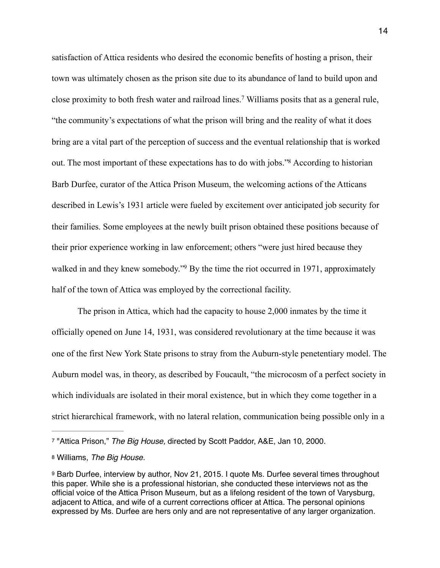<span id="page-16-4"></span><span id="page-16-3"></span>satisfaction of Attica residents who desired the economic benefits of hosting a prison, their town was ultimately chosen as the prison site due to its abundance of land to build upon and close proximity to both fresh water and railroad lines[.](#page-16-0)<sup>[7](#page-16-0)</sup> Williams posits that as a general rule, "the community's expectations of what the prison will bring and the reality of what it does bring are a vital part of the perception of success and the eventual relationship that is worked out. The most important of these expectations has to do with jobs."<sup>[8](#page-16-1)</sup> According to historian Barb Durfee, curator of the Attica Prison Museum, the welcoming actions of the Atticans described in Lewis's 1931 article were fueled by excitement over anticipated job security for their families. Some employees at the newly built prison obtained these positions because of their prior experience working in law enforcement; others "were just hired because they walked in and they knew somebody.["](#page-16-2)<sup>[9](#page-16-2)</sup> By the time the riot occurred in 1971, approximately half of the town of Attica was employed by the correctional facility.

<span id="page-16-5"></span> The prison in Attica, which had the capacity to house 2,000 inmates by the time it officially opened on June 14, 1931, was considered revolutionary at the time because it was one of the first New York State prisons to stray from the Auburn-style penetentiary model. The Auburn model was, in theory, as described by Foucault, "the microcosm of a perfect society in which individuals are isolated in their moral existence, but in which they come together in a strict hierarchical framework, with no lateral relation, communication being possible only in a

<span id="page-16-0"></span>[<sup>7</sup>](#page-16-3) "Attica Prison," *The Big House,* directed by Scott Paddor, A&E, Jan 10, 2000.

<span id="page-16-1"></span>[<sup>8</sup>](#page-16-4) Williams, *The Big House.* 

<span id="page-16-2"></span>[<sup>9</sup>](#page-16-5) Barb Durfee, interview by author, Nov 21, 2015. I quote Ms. Durfee several times throughout this paper. While she is a professional historian, she conducted these interviews not as the official voice of the Attica Prison Museum, but as a lifelong resident of the town of Varysburg, adjacent to Attica, and wife of a current corrections officer at Attica. The personal opinions expressed by Ms. Durfee are hers only and are not representative of any larger organization.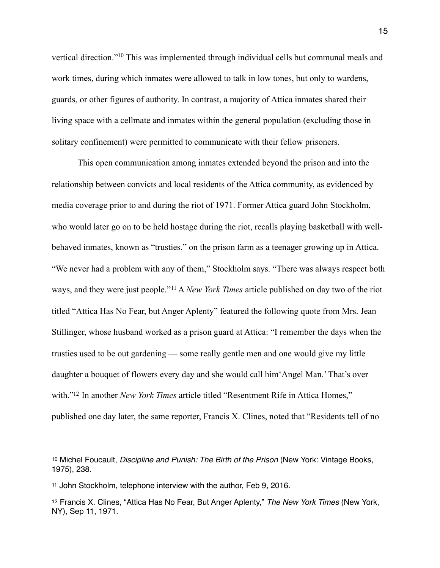<span id="page-17-3"></span>vertical direction.["](#page-17-0)<sup>[10](#page-17-0)</sup> This was implemented through individual cells but communal meals and work times, during which inmates were allowed to talk in low tones, but only to wardens, guards, or other figures of authority. In contrast, a majority of Attica inmates shared their living space with a cellmate and inmates within the general population (excluding those in solitary confinement) were permitted to communicate with their fellow prisoners.

<span id="page-17-4"></span> This open communication among inmates extended beyond the prison and into the relationship between convicts and local residents of the Attica community, as evidenced by media coverage prior to and during the riot of 1971. Former Attica guard John Stockholm, who would later go on to be held hostage during the riot, recalls playing basketball with wellbehaved inmates, known as "trusties," on the prison farm as a teenager growing up in Attica. "We never had a problem with any of them," Stockholm says. "There was always respect both ways, and they were just people."<sup>[11](#page-17-1)</sup> A *New York Times* article published on day two of the riot titled "Attica Has No Fear, but Anger Aplenty" featured the following quote from Mrs. Jean Stillinger, whose husband worked as a prison guard at Attica: "I remember the days when the trusties used to be out gardening — some really gentle men and one would give my little daughter a bouquet of flowers every day and she would call him'Angel Man.' That's over with."<sup>12</sup> In another *New York Times* article titled "Resentment Rife in Attica Homes," published one day later, the same reporter, Francis X. Clines, noted that "Residents tell of no

<span id="page-17-5"></span><span id="page-17-0"></span>[<sup>10</sup>](#page-17-3) Michel Foucault, *Discipline and Punish: The Birth of the Prison* (New York: Vintage Books, 1975), 238.

<span id="page-17-1"></span>[<sup>11</sup>](#page-17-4) John Stockholm, telephone interview with the author, Feb 9, 2016.

<span id="page-17-2"></span>[<sup>12</sup>](#page-17-5) Francis X. Clines, "Attica Has No Fear, But Anger Aplenty," *The New York Times* (New York, NY), Sep 11, 1971.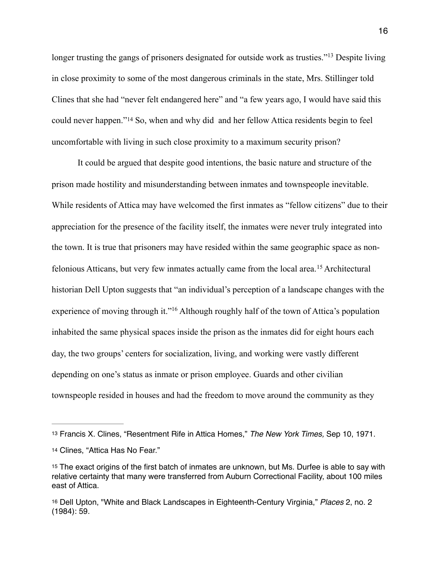<span id="page-18-4"></span>longer trusting the gangs of prisoners designated for outside work as trusties."<sup>[13](#page-18-0)</sup> Despite living in close proximity to some of the most dangerous criminals in the state, Mrs. Stillinger told Clines that she had "never felt endangered here" and "a few years ago, I would have said this could never happen."<sup>[14](#page-18-1)</sup> So, when and why did and her fellow Attica residents begin to feel uncomfortable with living in such close proximity to a maximum security prison?

<span id="page-18-6"></span><span id="page-18-5"></span> It could be argued that despite good intentions, the basic nature and structure of the prison made hostility and misunderstanding between inmates and townspeople inevitable. While residents of Attica may have welcomed the first inmates as "fellow citizens" due to their appreciation for the presence of the facility itself, the inmates were never truly integrated into the town. It is true that prisoners may have resided within the same geographic space as non-feloniousAtticans, but very few inmates actually came from the local area.<sup>[15](#page-18-2)</sup> Architectural historian Dell Upton suggests that "an individual's perception of a landscape changes with the experience of moving through it.["](#page-18-3)<sup>[16](#page-18-3)</sup> Although roughly half of the town of Attica's population inhabited the same physical spaces inside the prison as the inmates did for eight hours each day, the two groups' centers for socialization, living, and working were vastly different depending on one's status as inmate or prison employee. Guards and other civilian townspeople resided in houses and had the freedom to move around the community as they

<span id="page-18-7"></span><span id="page-18-0"></span>[<sup>13</sup>](#page-18-4) Francis X. Clines, "Resentment Rife in Attica Homes," *The New York Times,* Sep 10, 1971.

<span id="page-18-1"></span>[<sup>14</sup>](#page-18-5) Clines, "Attica Has No Fear."

<span id="page-18-2"></span>[<sup>15</sup>](#page-18-6) The exact origins of the first batch of inmates are unknown, but Ms. Durfee is able to say with relative certainty that many were transferred from Auburn Correctional Facility, about 100 miles east of Attica.

<span id="page-18-3"></span>[<sup>16</sup>](#page-18-7) Dell Upton, "White and Black Landscapes in Eighteenth-Century Virginia," *Places* 2, no. 2 (1984): 59.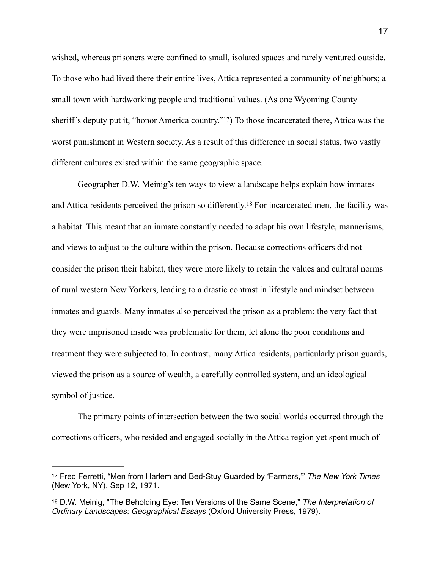wished, whereas prisoners were confined to small, isolated spaces and rarely ventured outside. To those who had lived there their entire lives, Attica represented a community of neighbors; a small town with hardworking people and traditional values. (As one Wyoming County sheriff's deputy put it, "honor America country."<sup>17</sup>[\)](#page-19-0) To those incarcerated there, Attica was the worst punishment in Western society. As a result of this difference in social status, two vastly different cultures existed within the same geographic space.

<span id="page-19-3"></span><span id="page-19-2"></span> Geographer D.W. Meinig's ten ways to view a landscape helps explain how inmates and Attica residents perceived the prison so differently.<sup>[18](#page-19-1)</sup> For incarcerated men, the facility was a habitat. This meant that an inmate constantly needed to adapt his own lifestyle, mannerisms, and views to adjust to the culture within the prison. Because corrections officers did not consider the prison their habitat, they were more likely to retain the values and cultural norms of rural western New Yorkers, leading to a drastic contrast in lifestyle and mindset between inmates and guards. Many inmates also perceived the prison as a problem: the very fact that they were imprisoned inside was problematic for them, let alone the poor conditions and treatment they were subjected to. In contrast, many Attica residents, particularly prison guards, viewed the prison as a source of wealth, a carefully controlled system, and an ideological symbol of justice.

 The primary points of intersection between the two social worlds occurred through the corrections officers, who resided and engaged socially in the Attica region yet spent much of

<span id="page-19-0"></span>[<sup>17</sup>](#page-19-2) Fred Ferretti, "Men from Harlem and Bed-Stuy Guarded by 'Farmers,'" *The New York Times*  (New York, NY), Sep 12, 1971.

<span id="page-19-1"></span>[<sup>18</sup>](#page-19-3) D.W. Meinig, "The Beholding Eye: Ten Versions of the Same Scene," *The Interpretation of Ordinary Landscapes: Geographical Essays* (Oxford University Press, 1979).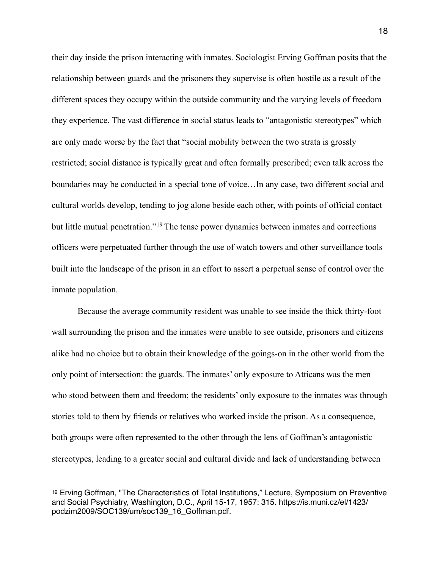their day inside the prison interacting with inmates. Sociologist Erving Goffman posits that the relationship between guards and the prisoners they supervise is often hostile as a result of the different spaces they occupy within the outside community and the varying levels of freedom they experience. The vast difference in social status leads to "antagonistic stereotypes" which are only made worse by the fact that "social mobility between the two strata is grossly restricted; social distance is typically great and often formally prescribed; even talk across the boundaries may be conducted in a special tone of voice…In any case, two different social and cultural worlds develop, tending to jog alone beside each other, with points of official contact butlittle mutual penetration."<sup>[19](#page-20-0)</sup> The tense power dynamics between inmates and corrections officers were perpetuated further through the use of watch towers and other surveillance tools built into the landscape of the prison in an effort to assert a perpetual sense of control over the inmate population.

<span id="page-20-1"></span> Because the average community resident was unable to see inside the thick thirty-foot wall surrounding the prison and the inmates were unable to see outside, prisoners and citizens alike had no choice but to obtain their knowledge of the goings-on in the other world from the only point of intersection: the guards. The inmates' only exposure to Atticans was the men who stood between them and freedom; the residents' only exposure to the inmates was through stories told to them by friends or relatives who worked inside the prison. As a consequence, both groups were often represented to the other through the lens of Goffman's antagonistic stereotypes, leading to a greater social and cultural divide and lack of understanding between

<span id="page-20-0"></span>[<sup>19</sup>](#page-20-1) Erving Goffman, "The Characteristics of Total Institutions," Lecture, Symposium on Preventive and Social Psychiatry, Washington, D.C., April 15-17, 1957: 315. https://is.muni.cz/el/1423/ podzim2009/SOC139/um/soc139\_16\_Goffman.pdf.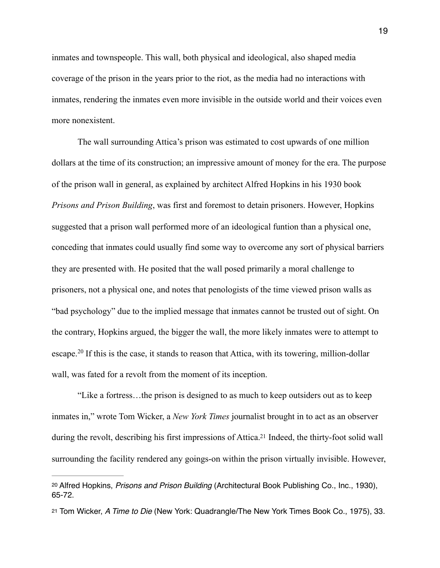inmates and townspeople. This wall, both physical and ideological, also shaped media coverage of the prison in the years prior to the riot, as the media had no interactions with inmates, rendering the inmates even more invisible in the outside world and their voices even more nonexistent.

 The wall surrounding Attica's prison was estimated to cost upwards of one million dollars at the time of its construction; an impressive amount of money for the era. The purpose of the prison wall in general, as explained by architect Alfred Hopkins in his 1930 book *Prisons and Prison Building*, was first and foremost to detain prisoners. However, Hopkins suggested that a prison wall performed more of an ideological funtion than a physical one, conceding that inmates could usually find some way to overcome any sort of physical barriers they are presented with. He posited that the wall posed primarily a moral challenge to prisoners, not a physical one, and notes that penologists of the time viewed prison walls as "bad psychology" due to the implied message that inmates cannot be trusted out of sight. On the contrary, Hopkins argued, the bigger the wall, the more likely inmates were to attempt to escape.<sup>[20](#page-21-0)</sup> If this is the case, it stands to reason that Attica, with its towering, million-dollar wall, was fated for a revolt from the moment of its inception.

<span id="page-21-2"></span> "Like a fortress…the prison is designed to as much to keep outsiders out as to keep inmates in," wrote Tom Wicker, a *New York Times* journalist brought in to act as an observer during the revolt, describing his first impressions of Attica.<sup>[21](#page-21-1)</sup> Indeed, the thirty-foot solid wall surrounding the facility rendered any goings-on within the prison virtually invisible. However,

<span id="page-21-3"></span><span id="page-21-0"></span>[<sup>20</sup>](#page-21-2) Alfred Hopkins, *Prisons and Prison Building* (Architectural Book Publishing Co., Inc., 1930), 65-72.

<span id="page-21-1"></span>[<sup>21</sup>](#page-21-3) Tom Wicker, *A Time to Die* (New York: Quadrangle/The New York Times Book Co., 1975), 33.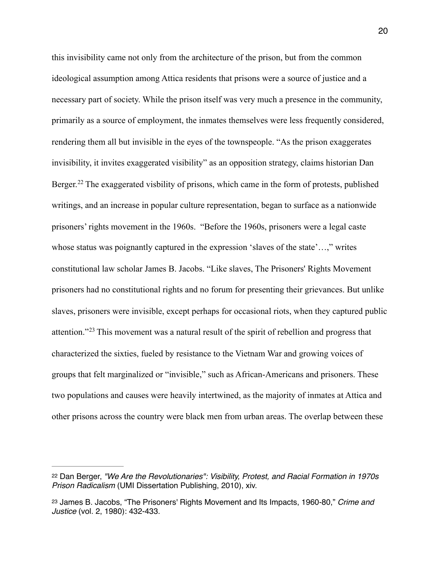<span id="page-22-2"></span>this invisibility came not only from the architecture of the prison, but from the common ideological assumption among Attica residents that prisons were a source of justice and a necessary part of society. While the prison itself was very much a presence in the community, primarily as a source of employment, the inmates themselves were less frequently considered, rendering them all but invisible in the eyes of the townspeople. "As the prison exaggerates invisibility, it invites exaggerated visibility" as an opposition strategy, claims historian Dan Berger.<sup>22</sup>The exaggerated visbility of prisons, which came in the form of protests, published writings, and an increase in popular culture representation, began to surface as a nationwide prisoners' rights movement in the 1960s. "Before the 1960s, prisoners were a legal caste whose status was poignantly captured in the expression 'slaves of the state'...," writes constitutional law scholar James B. Jacobs. "Like slaves, The Prisoners' Rights Movement prisoners had no constitutional rights and no forum for presenting their grievances. But unlike slaves, prisoners were invisible, except perhaps for occasional riots, when they captured public attention."<sup> $23$ </sup>This movement was a natural result of the spirit of rebellion and progress that characterized the sixties, fueled by resistance to the Vietnam War and growing voices of groups that felt marginalized or "invisible," such as African-Americans and prisoners. These two populations and causes were heavily intertwined, as the majority of inmates at Attica and other prisons across the country were black men from urban areas. The overlap between these

<span id="page-22-3"></span><span id="page-22-0"></span>[<sup>22</sup>](#page-22-2) Dan Berger, *"We Are the Revolutionaries": Visibility, Protest, and Racial Formation in 1970s Prison Radicalism* (UMI Dissertation Publishing, 2010), xiv.

<span id="page-22-1"></span>[<sup>23</sup>](#page-22-3) James B. Jacobs, "The Prisoners' Rights Movement and Its Impacts, 1960-80," *Crime and Justice* (vol. 2, 1980): 432-433.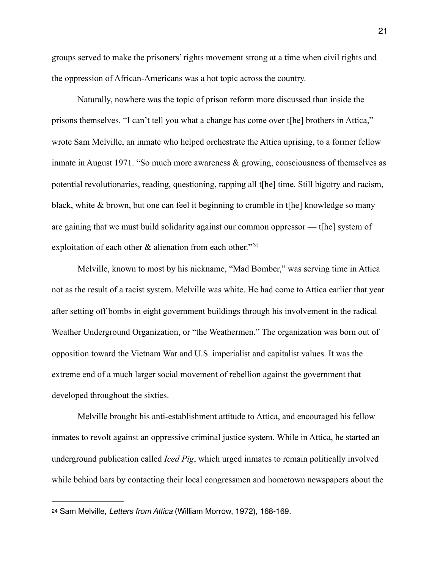groups served to make the prisoners' rights movement strong at a time when civil rights and the oppression of African-Americans was a hot topic across the country.

 Naturally, nowhere was the topic of prison reform more discussed than inside the prisons themselves. "I can't tell you what a change has come over t[he] brothers in Attica," wrote Sam Melville, an inmate who helped orchestrate the Attica uprising, to a former fellow inmate in August 1971. "So much more awareness & growing, consciousness of themselves as potential revolutionaries, reading, questioning, rapping all t[he] time. Still bigotry and racism, black, white & brown, but one can feel it beginning to crumble in t[he] knowledge so many are gaining that we must build solidarity against our common oppressor — t[he] system of exploitation of each other  $\&$  alienation from each other."<sup>24</sup>

<span id="page-23-1"></span> Melville, known to most by his nickname, "Mad Bomber," was serving time in Attica not as the result of a racist system. Melville was white. He had come to Attica earlier that year after setting off bombs in eight government buildings through his involvement in the radical Weather Underground Organization, or "the Weathermen." The organization was born out of opposition toward the Vietnam War and U.S. imperialist and capitalist values. It was the extreme end of a much larger social movement of rebellion against the government that developed throughout the sixties.

 Melville brought his anti-establishment attitude to Attica, and encouraged his fellow inmates to revolt against an oppressive criminal justice system. While in Attica, he started an underground publication called *Iced Pig*, which urged inmates to remain politically involved while behind bars by contacting their local congressmen and hometown newspapers about the

<span id="page-23-0"></span>[<sup>24</sup>](#page-23-1) Sam Melville, *Letters from Attica* (William Morrow, 1972), 168-169.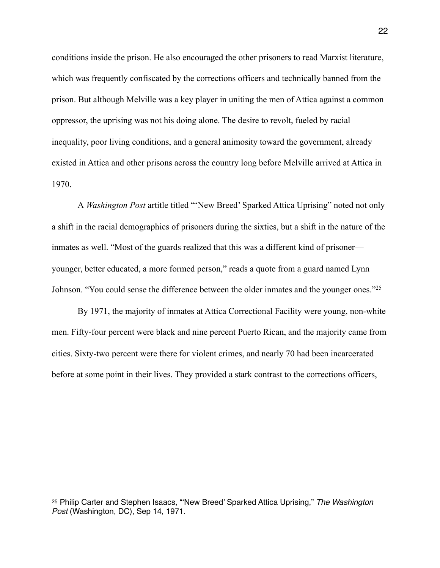conditions inside the prison. He also encouraged the other prisoners to read Marxist literature, which was frequently confiscated by the corrections officers and technically banned from the prison. But although Melville was a key player in uniting the men of Attica against a common oppressor, the uprising was not his doing alone. The desire to revolt, fueled by racial inequality, poor living conditions, and a general animosity toward the government, already existed in Attica and other prisons across the country long before Melville arrived at Attica in 1970.

 A *Washington Post* artitle titled "'New Breed' Sparked Attica Uprising" noted not only a shift in the racial demographics of prisoners during the sixties, but a shift in the nature of the inmates as well. "Most of the guards realized that this was a different kind of prisoner younger, better educated, a more formed person," reads a quote from a guard named Lynn Johnson. "You could sense the difference between the older inmates and the younger ones.["25](#page-24-0)

<span id="page-24-1"></span> By 1971, the majority of inmates at Attica Correctional Facility were young, non-white men. Fifty-four percent were black and nine percent Puerto Rican, and the majority came from cities. Sixty-two percent were there for violent crimes, and nearly 70 had been incarcerated before at some point in their lives. They provided a stark contrast to the corrections officers,

<span id="page-24-0"></span>[<sup>25</sup>](#page-24-1) Philip Carter and Stephen Isaacs, "'New Breed' Sparked Attica Uprising," *The Washington Post* (Washington, DC), Sep 14, 1971.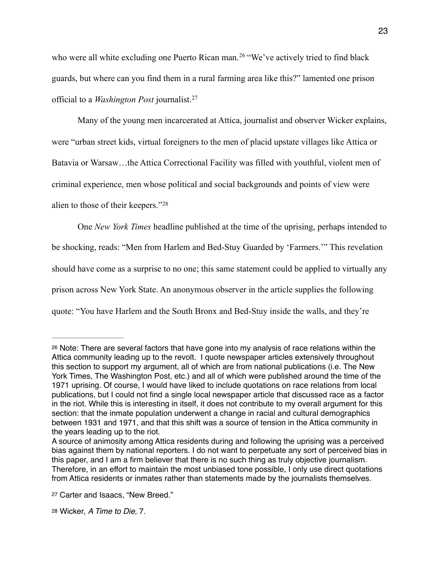<span id="page-25-3"></span>whowere all white excluding one Puerto Rican man.<sup>[26](#page-25-0)</sup> "We've actively tried to find black guards, but where can you find them in a rural farming area like this?" lamented one prison official to a *Washington Post* journalist.[27](#page-25-1)

<span id="page-25-4"></span> Many of the young men incarcerated at Attica, journalist and observer Wicker explains, were "urban street kids, virtual foreigners to the men of placid upstate villages like Attica or Batavia or Warsaw…the Attica Correctional Facility was filled with youthful, violent men of criminal experience, men whose political and social backgrounds and points of view were alien to those of their keepers."[28](#page-25-2)

<span id="page-25-5"></span> One *New York Times* headline published at the time of the uprising, perhaps intended to be shocking, reads: "Men from Harlem and Bed-Stuy Guarded by 'Farmers.'" This revelation should have come as a surprise to no one; this same statement could be applied to virtually any prison across New York State. An anonymous observer in the article supplies the following quote: "You have Harlem and the South Bronx and Bed-Stuy inside the walls, and they're

<span id="page-25-0"></span>[<sup>26</sup>](#page-25-3) Note: There are several factors that have gone into my analysis of race relations within the Attica community leading up to the revolt. I quote newspaper articles extensively throughout this section to support my argument, all of which are from national publications (i.e. The New York Times, The Washington Post, etc.) and all of which were published around the time of the 1971 uprising. Of course, I would have liked to include quotations on race relations from local publications, but I could not find a single local newspaper article that discussed race as a factor in the riot. While this is interesting in itself, it does not contribute to my overall argument for this section: that the inmate population underwent a change in racial and cultural demographics between 1931 and 1971, and that this shift was a source of tension in the Attica community in the years leading up to the riot.

A source of animosity among Attica residents during and following the uprising was a perceived bias against them by national reporters. I do not want to perpetuate any sort of perceived bias in this paper, and I am a firm believer that there is no such thing as truly objective journalism. Therefore, in an effort to maintain the most unbiased tone possible, I only use direct quotations from Attica residents or inmates rather than statements made by the journalists themselves.

<span id="page-25-1"></span>[<sup>27</sup>](#page-25-4) Carter and Isaacs, "New Breed."

<span id="page-25-2"></span>[<sup>28</sup>](#page-25-5) Wicker, *A Time to Die,* 7.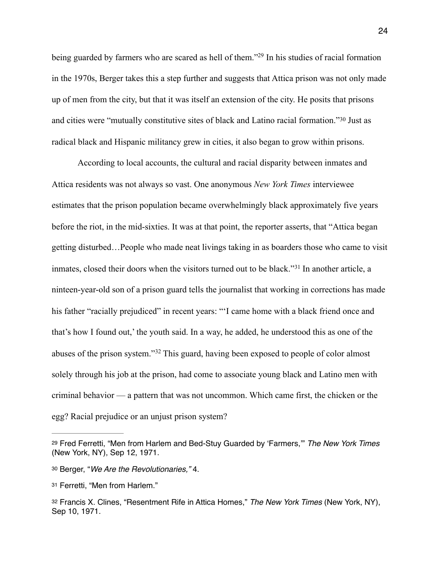<span id="page-26-4"></span>being guarded by farmers who are scared as hell of them.["](#page-26-0)<sup>[29](#page-26-0)</sup> In his studies of racial formation in the 1970s, Berger takes this a step further and suggests that Attica prison was not only made up of men from the city, but that it was itself an extension of the city. He posits that prisons and cities were "mutually constitutive sites of black and Latino racial formation."<sup>[30](#page-26-1)</sup> Just as radical black and Hispanic militancy grew in cities, it also began to grow within prisons.

<span id="page-26-6"></span><span id="page-26-5"></span> According to local accounts, the cultural and racial disparity between inmates and Attica residents was not always so vast. One anonymous *New York Times* interviewee estimates that the prison population became overwhelmingly black approximately five years before the riot, in the mid-sixties. It was at that point, the reporter asserts, that "Attica began getting disturbed…People who made neat livings taking in as boarders those who came to visit inmates, closed their doors when the visitors turned out to be black."<sup>[31](#page-26-2)</sup> In another article, a ninteen-year-old son of a prison guard tells the journalist that working in corrections has made his father "racially prejudiced" in recent years: ""I came home with a black friend once and that's how I found out,' the youth said. In a way, he added, he understood this as one of the abuses of the prison system."<sup>[32](#page-26-3)</sup> This guard, having been exposed to people of color almost solely through his job at the prison, had come to associate young black and Latino men with criminal behavior — a pattern that was not uncommon. Which came first, the chicken or the egg? Racial prejudice or an unjust prison system?

<span id="page-26-7"></span><span id="page-26-0"></span>[<sup>29</sup>](#page-26-4) Fred Ferretti, "Men from Harlem and Bed-Stuy Guarded by 'Farmers,'" *The New York Times*  (New York, NY), Sep 12, 1971.

<span id="page-26-1"></span>[<sup>30</sup>](#page-26-5) Berger, "*We Are the Revolutionaries,"* 4.

<span id="page-26-2"></span>[<sup>31</sup>](#page-26-6) Ferretti, "Men from Harlem."

<span id="page-26-3"></span>[<sup>32</sup>](#page-26-7) Francis X. Clines, "Resentment Rife in Attica Homes," *The New York Times* (New York, NY), Sep 10, 1971.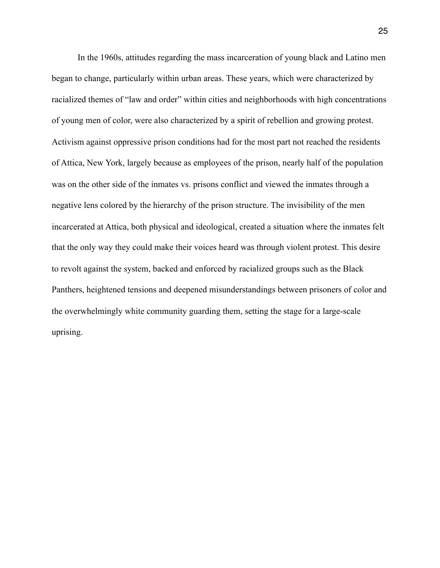In the 1960s, attitudes regarding the mass incarceration of young black and Latino men began to change, particularly within urban areas. These years, which were characterized by racialized themes of "law and order" within cities and neighborhoods with high concentrations of young men of color, were also characterized by a spirit of rebellion and growing protest. Activism against oppressive prison conditions had for the most part not reached the residents of Attica, New York, largely because as employees of the prison, nearly half of the population was on the other side of the inmates vs. prisons conflict and viewed the inmates through a negative lens colored by the hierarchy of the prison structure. The invisibility of the men incarcerated at Attica, both physical and ideological, created a situation where the inmates felt that the only way they could make their voices heard was through violent protest. This desire to revolt against the system, backed and enforced by racialized groups such as the Black Panthers, heightened tensions and deepened misunderstandings between prisoners of color and the overwhelmingly white community guarding them, setting the stage for a large-scale uprising.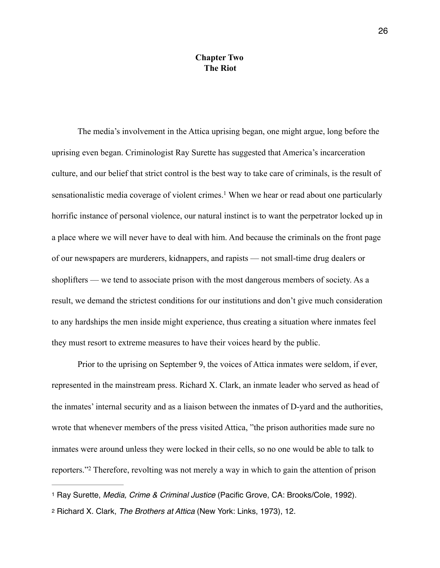## <span id="page-28-2"></span>**Chapter Two The Riot**

 The media's involvement in the Attica uprising began, one might argue, long before the uprising even began. Criminologist Ray Surette has suggested that America's incarceration culture, and our belief that strict control is the best way to take care of criminals, is the result of sensationalistic media coverage of violent crimes[.](#page-28-0)<sup>[1](#page-28-0)</sup> When we hear or read about one particularly horrific instance of personal violence, our natural instinct is to want the perpetrator locked up in a place where we will never have to deal with him. And because the criminals on the front page of our newspapers are murderers, kidnappers, and rapists — not small-time drug dealers or shoplifters — we tend to associate prison with the most dangerous members of society. As a result, we demand the strictest conditions for our institutions and don't give much consideration to any hardships the men inside might experience, thus creating a situation where inmates feel they must resort to extreme measures to have their voices heard by the public.

 Prior to the uprising on September 9, the voices of Attica inmates were seldom, if ever, represented in the mainstream press. Richard X. Clark, an inmate leader who served as head of the inmates' internal security and as a liaison between the inmates of D-yard and the authorities, wrote that whenever members of the press visited Attica, "the prison authorities made sure no inmates were around unless they were locked in their cells, so no one would be able to talk to reporters."<sup>2</sup>Therefore, revolting was not merely a way in which to gain the attention of prison

<span id="page-28-3"></span><span id="page-28-0"></span>[<sup>1</sup>](#page-28-2) Ray Surette, *Media, Crime & Criminal Justice* (Pacific Grove, CA: Brooks/Cole, 1992).

<span id="page-28-1"></span>[<sup>2</sup>](#page-28-3) Richard X. Clark, *The Brothers at Attica* (New York: Links, 1973), 12.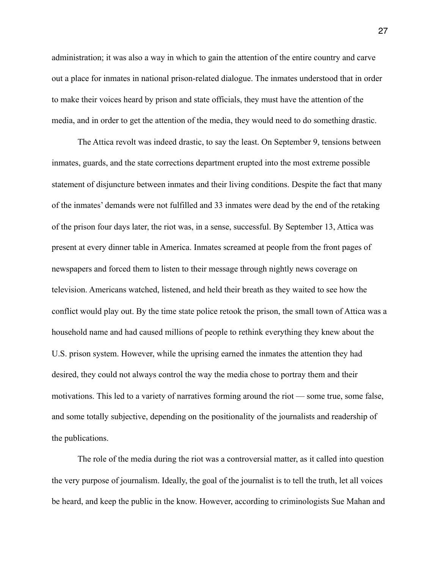administration; it was also a way in which to gain the attention of the entire country and carve out a place for inmates in national prison-related dialogue. The inmates understood that in order to make their voices heard by prison and state officials, they must have the attention of the media, and in order to get the attention of the media, they would need to do something drastic.

 The Attica revolt was indeed drastic, to say the least. On September 9, tensions between inmates, guards, and the state corrections department erupted into the most extreme possible statement of disjuncture between inmates and their living conditions. Despite the fact that many of the inmates' demands were not fulfilled and 33 inmates were dead by the end of the retaking of the prison four days later, the riot was, in a sense, successful. By September 13, Attica was present at every dinner table in America. Inmates screamed at people from the front pages of newspapers and forced them to listen to their message through nightly news coverage on television. Americans watched, listened, and held their breath as they waited to see how the conflict would play out. By the time state police retook the prison, the small town of Attica was a household name and had caused millions of people to rethink everything they knew about the U.S. prison system. However, while the uprising earned the inmates the attention they had desired, they could not always control the way the media chose to portray them and their motivations. This led to a variety of narratives forming around the riot — some true, some false, and some totally subjective, depending on the positionality of the journalists and readership of the publications.

 The role of the media during the riot was a controversial matter, as it called into question the very purpose of journalism. Ideally, the goal of the journalist is to tell the truth, let all voices be heard, and keep the public in the know. However, according to criminologists Sue Mahan and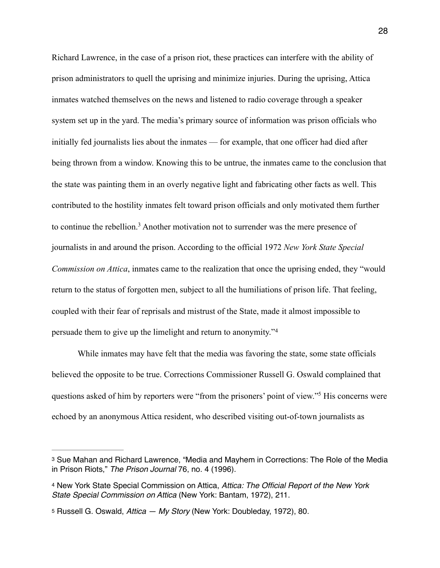Richard Lawrence, in the case of a prison riot, these practices can interfere with the ability of prison administrators to quell the uprising and minimize injuries. During the uprising, Attica inmates watched themselves on the news and listened to radio coverage through a speaker system set up in the yard. The media's primary source of information was prison officials who initially fed journalists lies about the inmates — for example, that one officer had died after being thrown from a window. Knowing this to be untrue, the inmates came to the conclusion that the state was painting them in an overly negative light and fabricating other facts as well. This contributed to the hostility inmates felt toward prison officials and only motivated them further tocontinue the rebellion.<sup>[3](#page-30-0)</sup> Another motivation not to surrender was the mere presence of journalists in and around the prison. According to the official 1972 *New York State Special Commission on Attica*, inmates came to the realization that once the uprising ended, they "would return to the status of forgotten men, subject to all the humiliations of prison life. That feeling, coupled with their fear of reprisals and mistrust of the State, made it almost impossible to persuade them to give up the limelight and return to anonymity."[4](#page-30-1)

<span id="page-30-5"></span><span id="page-30-4"></span><span id="page-30-3"></span> While inmates may have felt that the media was favoring the state, some state officials believed the opposite to be true. Corrections Commissioner Russell G. Oswald complained that questions asked of him by reporters were ["](#page-30-2)from the prisoners' point of view."<sup>[5](#page-30-2)</sup> His concerns were echoed by an anonymous Attica resident, who described visiting out-of-town journalists as

<span id="page-30-0"></span>[<sup>3</sup>](#page-30-3) Sue Mahan and Richard Lawrence, "Media and Mayhem in Corrections: The Role of the Media in Prison Riots," *The Prison Journal* 76, no. 4 (1996).

<span id="page-30-1"></span>[<sup>4</sup>](#page-30-4) New York State Special Commission on Attica, *Attica: The Official Report of the New York State Special Commission on Attica* (New York: Bantam, 1972), 211.

<span id="page-30-2"></span>[<sup>5</sup>](#page-30-5) Russell G. Oswald, *Attica — My Story* (New York: Doubleday, 1972), 80.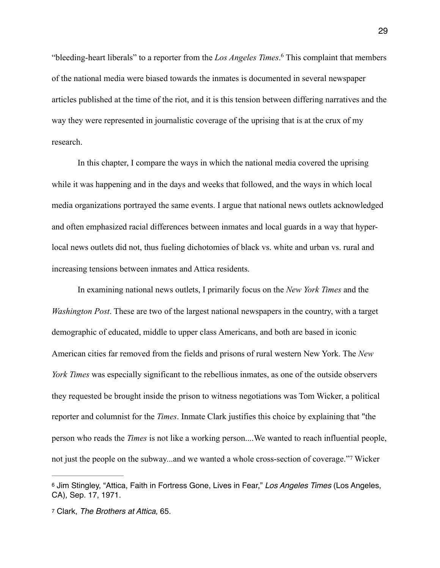<span id="page-31-2"></span>"bleeding-heart liberals" to a reporter from the *Los Angeles Times*[.](#page-31-0)<sup>[6](#page-31-0)</sup> This complaint that members of the national media were biased towards the inmates is documented in several newspaper articles published at the time of the riot, and it is this tension between differing narratives and the way they were represented in journalistic coverage of the uprising that is at the crux of my research.

 In this chapter, I compare the ways in which the national media covered the uprising while it was happening and in the days and weeks that followed, and the ways in which local media organizations portrayed the same events. I argue that national news outlets acknowledged and often emphasized racial differences between inmates and local guards in a way that hyperlocal news outlets did not, thus fueling dichotomies of black vs. white and urban vs. rural and increasing tensions between inmates and Attica residents.

 In examining national news outlets, I primarily focus on the *New York Times* and the *Washington Post*. These are two of the largest national newspapers in the country, with a target demographic of educated, middle to upper class Americans, and both are based in iconic American cities far removed from the fields and prisons of rural western New York. The *New York Times* was especially significant to the rebellious inmates, as one of the outside observers they requested be brought inside the prison to witness negotiations was Tom Wicker, a political reporter and columnist for the *Times*. Inmate Clark justifies this choice by explaining that "the person who reads the *Times* is not like a working person....We wanted to reach influential people, notjust the people on the subway...and we wanted a whole cross-section of coverage."[7](#page-31-1) Wicker

<span id="page-31-3"></span><span id="page-31-0"></span>[<sup>6</sup>](#page-31-2) Jim Stingley, "Attica, Faith in Fortress Gone, Lives in Fear," *Los Angeles Times* (Los Angeles, CA), Sep. 17, 1971.

<span id="page-31-1"></span>[<sup>7</sup>](#page-31-3) Clark, *The Brothers at Attica,* 65.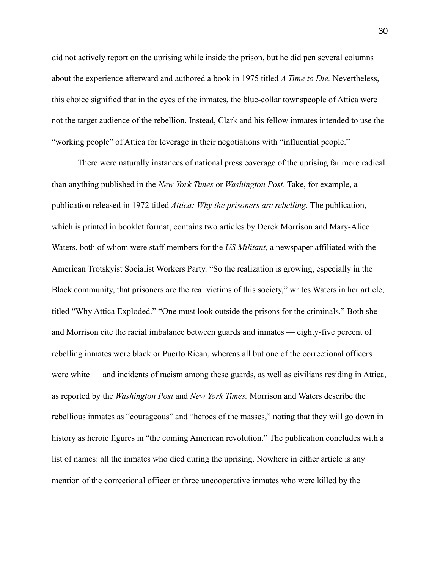did not actively report on the uprising while inside the prison, but he did pen several columns about the experience afterward and authored a book in 1975 titled *A Time to Die.* Nevertheless, this choice signified that in the eyes of the inmates, the blue-collar townspeople of Attica were not the target audience of the rebellion. Instead, Clark and his fellow inmates intended to use the "working people" of Attica for leverage in their negotiations with "influential people."

 There were naturally instances of national press coverage of the uprising far more radical than anything published in the *New York Times* or *Washington Post*. Take, for example, a publication released in 1972 titled *Attica: Why the prisoners are rebelling*. The publication, which is printed in booklet format, contains two articles by Derek Morrison and Mary-Alice Waters, both of whom were staff members for the *US Militant,* a newspaper affiliated with the American Trotskyist Socialist Workers Party. "So the realization is growing, especially in the Black community, that prisoners are the real victims of this society," writes Waters in her article, titled "Why Attica Exploded." "One must look outside the prisons for the criminals." Both she and Morrison cite the racial imbalance between guards and inmates — eighty-five percent of rebelling inmates were black or Puerto Rican, whereas all but one of the correctional officers were white — and incidents of racism among these guards, as well as civilians residing in Attica, as reported by the *Washington Post* and *New York Times.* Morrison and Waters describe the rebellious inmates as "courageous" and "heroes of the masses," noting that they will go down in history as heroic figures in "the coming American revolution." The publication concludes with a list of names: all the inmates who died during the uprising. Nowhere in either article is any mention of the correctional officer or three uncooperative inmates who were killed by the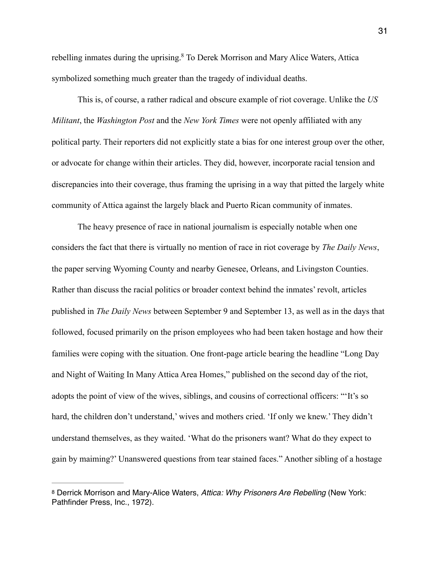<span id="page-33-1"></span>rebelling inmates during the uprising[.](#page-33-0)<sup>[8](#page-33-0)</sup> To Derek Morrison and Mary Alice Waters, Attica symbolized something much greater than the tragedy of individual deaths.

 This is, of course, a rather radical and obscure example of riot coverage. Unlike the *US Militant*, the *Washington Post* and the *New York Times* were not openly affiliated with any political party. Their reporters did not explicitly state a bias for one interest group over the other, or advocate for change within their articles. They did, however, incorporate racial tension and discrepancies into their coverage, thus framing the uprising in a way that pitted the largely white community of Attica against the largely black and Puerto Rican community of inmates.

 The heavy presence of race in national journalism is especially notable when one considers the fact that there is virtually no mention of race in riot coverage by *The Daily News*, the paper serving Wyoming County and nearby Genesee, Orleans, and Livingston Counties. Rather than discuss the racial politics or broader context behind the inmates' revolt, articles published in *The Daily News* between September 9 and September 13, as well as in the days that followed, focused primarily on the prison employees who had been taken hostage and how their families were coping with the situation. One front-page article bearing the headline "Long Day and Night of Waiting In Many Attica Area Homes," published on the second day of the riot, adopts the point of view of the wives, siblings, and cousins of correctional officers: "'It's so hard, the children don't understand,' wives and mothers cried. 'If only we knew.' They didn't understand themselves, as they waited. 'What do the prisoners want? What do they expect to gain by maiming?' Unanswered questions from tear stained faces." Another sibling of a hostage

<span id="page-33-0"></span>[<sup>8</sup>](#page-33-1) Derrick Morrison and Mary-Alice Waters, *Attica: Why Prisoners Are Rebelling* (New York: Pathfinder Press, Inc., 1972).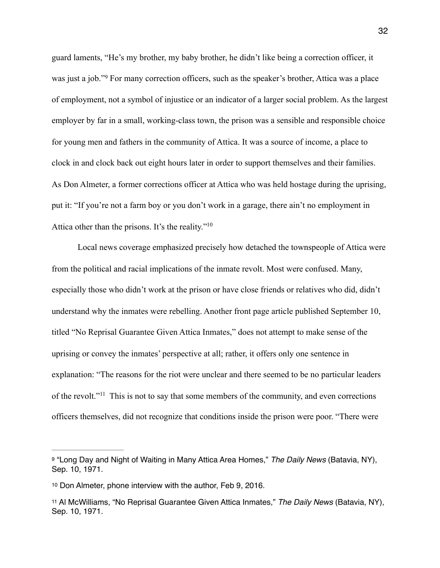<span id="page-34-3"></span>guard laments, "He's my brother, my baby brother, he didn't like being a correction officer, it wasjust a job."<sup>[9](#page-34-0)</sup> For many correction officers, such as the speaker's brother, Attica was a place of employment, not a symbol of injustice or an indicator of a larger social problem. As the largest employer by far in a small, working-class town, the prison was a sensible and responsible choice for young men and fathers in the community of Attica. It was a source of income, a place to clock in and clock back out eight hours later in order to support themselves and their families. As Don Almeter, a former corrections officer at Attica who was held hostage during the uprising, put it: "If you're not a farm boy or you don't work in a garage, there ain't no employment in Attica other than the prisons. It's the reality.["](#page-34-1)<sup>[10](#page-34-1)</sup>

<span id="page-34-4"></span> Local news coverage emphasized precisely how detached the townspeople of Attica were from the political and racial implications of the inmate revolt. Most were confused. Many, especially those who didn't work at the prison or have close friends or relatives who did, didn't understand why the inmates were rebelling. Another front page article published September 10, titled "No Reprisal Guarantee Given Attica Inmates," does not attempt to make sense of the uprising or convey the inmates' perspective at all; rather, it offers only one sentence in explanation: "The reasons for the riot were unclear and there seemed to be no particular leaders ofthe revolt."<sup> $11$ </sup> This is not to say that some members of the community, and even corrections officers themselves, did not recognize that conditions inside the prison were poor. "There were

<span id="page-34-5"></span><span id="page-34-0"></span>[<sup>9</sup>](#page-34-3) "Long Day and Night of Waiting in Many Attica Area Homes," *The Daily News* (Batavia, NY), Sep. 10, 1971.

<span id="page-34-1"></span>[<sup>10</sup>](#page-34-4) Don Almeter, phone interview with the author, Feb 9, 2016.

<span id="page-34-2"></span>[<sup>11</sup>](#page-34-5) Al McWilliams, "No Reprisal Guarantee Given Attica Inmates," *The Daily News* (Batavia, NY), Sep. 10, 1971.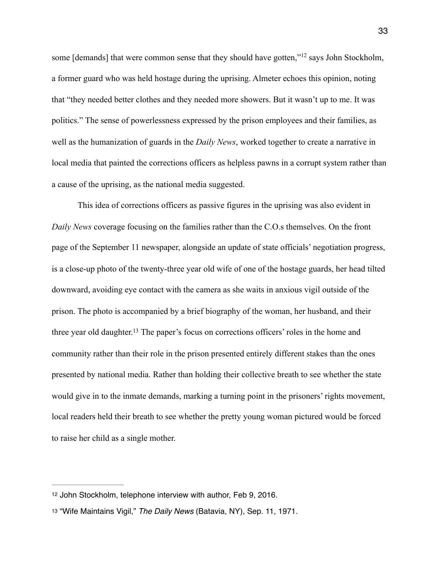<span id="page-35-2"></span>some[demands] that were common sense that they should have gotten," $^{12}$  $^{12}$  $^{12}$  says John Stockholm, a former guard who was held hostage during the uprising. Almeter echoes this opinion, noting that "they needed better clothes and they needed more showers. But it wasn't up to me. It was politics." The sense of powerlessness expressed by the prison employees and their families, as well as the humanization of guards in the *Daily News*, worked together to create a narrative in local media that painted the corrections officers as helpless pawns in a corrupt system rather than a cause of the uprising, as the national media suggested.

<span id="page-35-3"></span> This idea of corrections officers as passive figures in the uprising was also evident in *Daily News* coverage focusing on the families rather than the C.O.s themselves. On the front page of the September 11 newspaper, alongside an update of state officials' negotiation progress, is a close-up photo of the twenty-three year old wife of one of the hostage guards, her head tilted downward, avoiding eye contact with the camera as she waits in anxious vigil outside of the prison. The photo is accompanied by a brief biography of the woman, her husband, and their three year old daughter[.](#page-35-1)<sup>[13](#page-35-1)</sup> The paper's focus on corrections officers' roles in the home and community rather than their role in the prison presented entirely different stakes than the ones presented by national media. Rather than holding their collective breath to see whether the state would give in to the inmate demands, marking a turning point in the prisoners' rights movement, local readers held their breath to see whether the pretty young woman pictured would be forced to raise her child as a single mother.

<span id="page-35-0"></span>[<sup>12</sup>](#page-35-2) John Stockholm, telephone interview with author, Feb 9, 2016.

<span id="page-35-1"></span>[<sup>13</sup>](#page-35-3) "Wife Maintains Vigil," *The Daily News* (Batavia, NY), Sep. 11, 1971.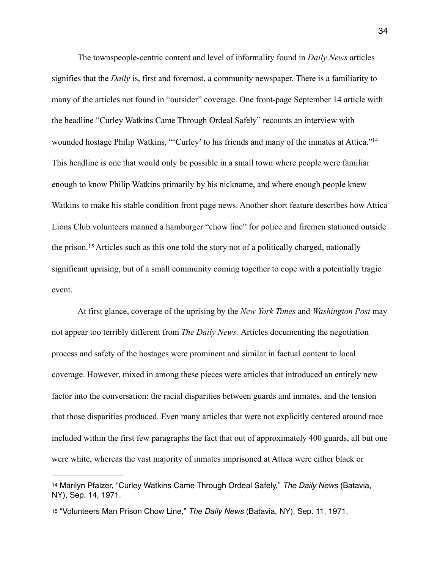<span id="page-36-2"></span> The townspeople-centric content and level of informality found in *Daily News* articles signifies that the *Daily* is, first and foremost, a community newspaper. There is a familiarity to many of the articles not found in "outsider" coverage. One front-page September 14 article with the headline "Curley Watkins Came Through Ordeal Safely" recounts an interview with wounded hostage Philip Watkins, "'Curley' to his friends and many of the inmates at Attica."<sup>14</sup> This headline is one that would only be possible in a small town where people were familiar enough to know Philip Watkins primarily by his nickname, and where enough people knew Watkins to make his stable condition front page news. Another short feature describes how Attica Lions Club volunteers manned a hamburger "chow line" for police and firemen stationed outside theprison.<sup>[15](#page-36-1)</sup> Articles such as this one told the story not of a politically charged, nationally significant uprising, but of a small community coming together to cope with a potentially tragic event.

<span id="page-36-3"></span> At first glance, coverage of the uprising by the *New York Times* and *Washington Post* may not appear too terribly different from *The Daily News.* Articles documenting the negotiation process and safety of the hostages were prominent and similar in factual content to local coverage. However, mixed in among these pieces were articles that introduced an entirely new factor into the conversation: the racial disparities between guards and inmates, and the tension that those disparities produced. Even many articles that were not explicitly centered around race included within the first few paragraphs the fact that out of approximately 400 guards, all but one were white, whereas the vast majority of inmates imprisoned at Attica were either black or

<span id="page-36-0"></span>[<sup>14</sup>](#page-36-2) Marilyn Pfalzer, "Curley Watkins Came Through Ordeal Safely," *The Daily News* (Batavia, NY), Sep. 14, 1971.

<span id="page-36-1"></span>[<sup>15</sup>](#page-36-3) "Volunteers Man Prison Chow Line," *The Daily News* (Batavia, NY), Sep. 11, 1971.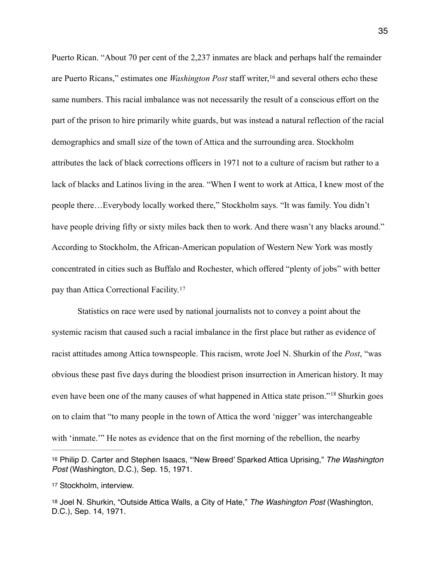<span id="page-37-3"></span>Puerto Rican. "About 70 per cent of the 2,237 inmates are black and perhaps half the remainder arePuerto Ricans," estimates one *Washington Post* staff writer,<sup>[16](#page-37-0)</sup> and several others echo these same numbers. This racial imbalance was not necessarily the result of a conscious effort on the part of the prison to hire primarily white guards, but was instead a natural reflection of the racial demographics and small size of the town of Attica and the surrounding area. Stockholm attributes the lack of black corrections officers in 1971 not to a culture of racism but rather to a lack of blacks and Latinos living in the area. "When I went to work at Attica, I knew most of the people there…Everybody locally worked there," Stockholm says. "It was family. You didn't have people driving fifty or sixty miles back then to work. And there wasn't any blacks around." According to Stockholm, the African-American population of Western New York was mostly concentrated in cities such as Buffalo and Rochester, which offered "plenty of jobs" with better pay than Attica Correctional Facility.[17](#page-37-1)

<span id="page-37-4"></span> Statistics on race were used by national journalists not to convey a point about the systemic racism that caused such a racial imbalance in the first place but rather as evidence of racist attitudes among Attica townspeople. This racism, wrote Joel N. Shurkin of the *Post*, "was obvious these past five days during the bloodiest prison insurrection in American history. It may evenhave been one of the many causes of what happened in Attica state prison."<sup>[18](#page-37-2)</sup> Shurkin goes on to claim that "to many people in the town of Attica the word 'nigger' was interchangeable with 'inmate.'" He notes as evidence that on the first morning of the rebellion, the nearby

<span id="page-37-5"></span><span id="page-37-0"></span>[<sup>16</sup>](#page-37-3) Philip D. Carter and Stephen Isaacs, "'New Breed' Sparked Attica Uprising," *The Washington Post* (Washington, D.C.), Sep. 15, 1971.

<span id="page-37-1"></span>[<sup>17</sup>](#page-37-4) Stockholm, interview.

<span id="page-37-2"></span>[<sup>18</sup>](#page-37-5) Joel N. Shurkin, "Outside Attica Walls, a City of Hate," *The Washington Post* (Washington, D.C.), Sep. 14, 1971.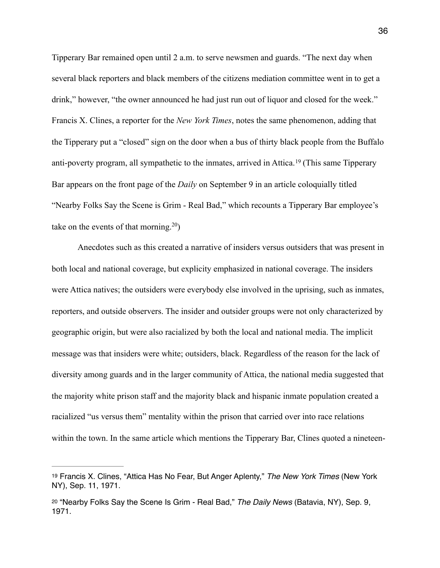Tipperary Bar remained open until 2 a.m. to serve newsmen and guards. "The next day when several black reporters and black members of the citizens mediation committee went in to get a drink," however, "the owner announced he had just run out of liquor and closed for the week." Francis X. Clines, a reporter for the *New York Times*, notes the same phenomenon, adding that the Tipperary put a "closed" sign on the door when a bus of thirty black people from the Buffalo anti-povertyprogram, all sympathetic to the inmates, arrived in Attica.  $\frac{19}{19}$  $\frac{19}{19}$  $\frac{19}{19}$  (This same Tipperary Bar appears on the front page of the *Daily* on September 9 in an article coloquially titled "Nearby Folks Say the Scene is Grim - Real Bad," which recounts a Tipperary Bar employee's take on the events of that morning.  $20$ [\)](#page-38-1)

<span id="page-38-3"></span><span id="page-38-2"></span> Anecdotes such as this created a narrative of insiders versus outsiders that was present in both local and national coverage, but explicity emphasized in national coverage. The insiders were Attica natives; the outsiders were everybody else involved in the uprising, such as inmates, reporters, and outside observers. The insider and outsider groups were not only characterized by geographic origin, but were also racialized by both the local and national media. The implicit message was that insiders were white; outsiders, black. Regardless of the reason for the lack of diversity among guards and in the larger community of Attica, the national media suggested that the majority white prison staff and the majority black and hispanic inmate population created a racialized "us versus them" mentality within the prison that carried over into race relations within the town. In the same article which mentions the Tipperary Bar, Clines quoted a nineteen-

<span id="page-38-0"></span>[<sup>19</sup>](#page-38-2) Francis X. Clines, "Attica Has No Fear, But Anger Aplenty," *The New York Times* (New York NY), Sep. 11, 1971.

<span id="page-38-1"></span>[<sup>20</sup>](#page-38-3) "Nearby Folks Say the Scene Is Grim - Real Bad," *The Daily News* (Batavia, NY), Sep. 9, 1971.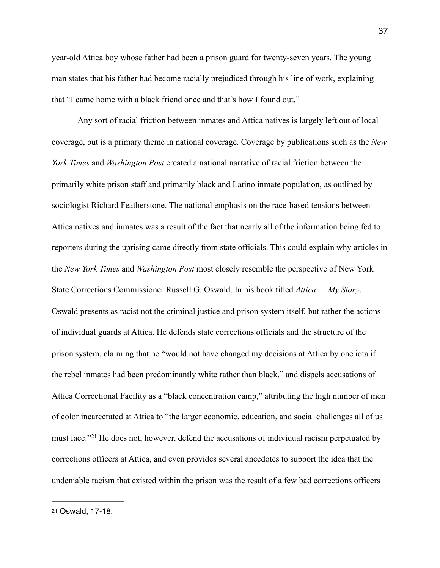year-old Attica boy whose father had been a prison guard for twenty-seven years. The young man states that his father had become racially prejudiced through his line of work, explaining that "I came home with a black friend once and that's how I found out."

 Any sort of racial friction between inmates and Attica natives is largely left out of local coverage, but is a primary theme in national coverage. Coverage by publications such as the *New York Times* and *Washington Post* created a national narrative of racial friction between the primarily white prison staff and primarily black and Latino inmate population, as outlined by sociologist Richard Featherstone. The national emphasis on the race-based tensions between Attica natives and inmates was a result of the fact that nearly all of the information being fed to reporters during the uprising came directly from state officials. This could explain why articles in the *New York Times* and *Washington Post* most closely resemble the perspective of New York State Corrections Commissioner Russell G. Oswald. In his book titled *Attica — My Story*, Oswald presents as racist not the criminal justice and prison system itself, but rather the actions of individual guards at Attica. He defends state corrections officials and the structure of the prison system, claiming that he "would not have changed my decisions at Attica by one iota if the rebel inmates had been predominantly white rather than black," and dispels accusations of Attica Correctional Facility as a "black concentration camp," attributing the high number of men of color incarcerated at Attica to "the larger economic, education, and social challenges all of us mustface."<sup>[21](#page-39-0)</sup> He does not, however, defend the accusations of individual racism perpetuated by corrections officers at Attica, and even provides several anecdotes to support the idea that the undeniable racism that existed within the prison was the result of a few bad corrections officers

<span id="page-39-1"></span><span id="page-39-0"></span>[<sup>21</sup>](#page-39-1) Oswald, 17-18.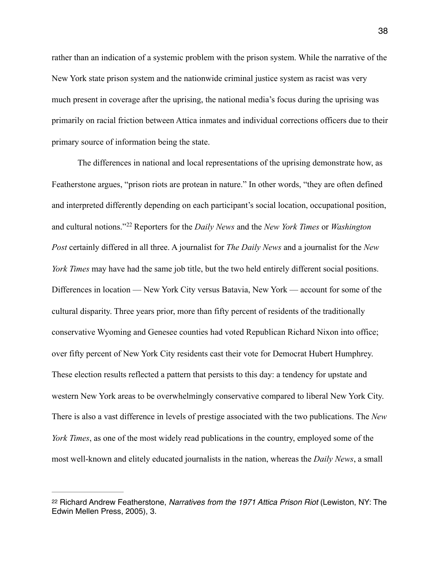rather than an indication of a systemic problem with the prison system. While the narrative of the New York state prison system and the nationwide criminal justice system as racist was very much present in coverage after the uprising, the national media's focus during the uprising was primarily on racial friction between Attica inmates and individual corrections officers due to their primary source of information being the state.

<span id="page-40-1"></span> The differences in national and local representations of the uprising demonstrate how, as Featherstone argues, "prison riots are protean in nature." In other words, "they are often defined and interpreted differently depending on each participant's social location, occupational position, andcultural notions."<sup>22</sup> Reporters for the *Daily News* and the *New York Times* or *Washington Post* certainly differed in all three. A journalist for *The Daily News* and a journalist for the *New York Times* may have had the same job title, but the two held entirely different social positions. Differences in location — New York City versus Batavia, New York — account for some of the cultural disparity. Three years prior, more than fifty percent of residents of the traditionally conservative Wyoming and Genesee counties had voted Republican Richard Nixon into office; over fifty percent of New York City residents cast their vote for Democrat Hubert Humphrey. These election results reflected a pattern that persists to this day: a tendency for upstate and western New York areas to be overwhelmingly conservative compared to liberal New York City. There is also a vast difference in levels of prestige associated with the two publications. The *New York Times*, as one of the most widely read publications in the country, employed some of the most well-known and elitely educated journalists in the nation, whereas the *Daily News*, a small

<span id="page-40-0"></span>[<sup>22</sup>](#page-40-1) Richard Andrew Featherstone, *Narratives from the 1971 Attica Prison Riot* (Lewiston, NY: The Edwin Mellen Press, 2005), 3.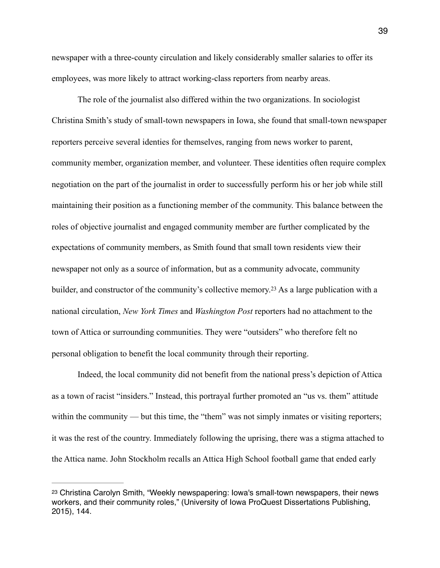newspaper with a three-county circulation and likely considerably smaller salaries to offer its employees, was more likely to attract working-class reporters from nearby areas.

 The role of the journalist also differed within the two organizations. In sociologist Christina Smith's study of small-town newspapers in Iowa, she found that small-town newspaper reporters perceive several identies for themselves, ranging from news worker to parent, community member, organization member, and volunteer. These identities often require complex negotiation on the part of the journalist in order to successfully perform his or her job while still maintaining their position as a functioning member of the community. This balance between the roles of objective journalist and engaged community member are further complicated by the expectations of community members, as Smith found that small town residents view their newspaper not only as a source of information, but as a community advocate, community builder,and constructor of the community's collective memory.<sup>[23](#page-41-0)</sup> As a large publication with a national circulation, *New York Times* and *Washington Post* reporters had no attachment to the town of Attica or surrounding communities. They were "outsiders" who therefore felt no personal obligation to benefit the local community through their reporting.

<span id="page-41-1"></span> Indeed, the local community did not benefit from the national press's depiction of Attica as a town of racist "insiders." Instead, this portrayal further promoted an "us vs. them" attitude within the community — but this time, the "them" was not simply inmates or visiting reporters; it was the rest of the country. Immediately following the uprising, there was a stigma attached to the Attica name. John Stockholm recalls an Attica High School football game that ended early

<span id="page-41-0"></span>[<sup>23</sup>](#page-41-1) Christina Carolyn Smith, "Weekly newspapering: Iowa's small-town newspapers, their news workers, and their community roles," (University of Iowa ProQuest Dissertations Publishing, 2015), 144.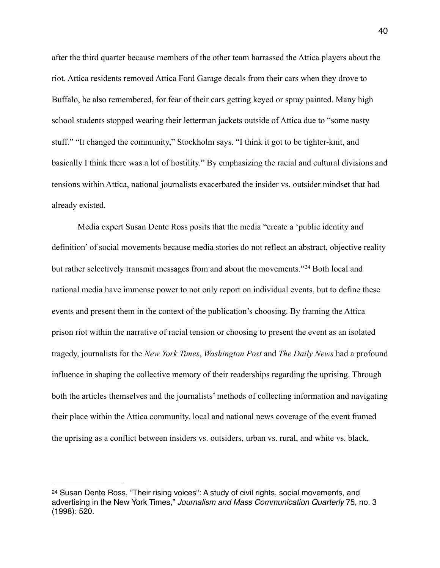after the third quarter because members of the other team harrassed the Attica players about the riot. Attica residents removed Attica Ford Garage decals from their cars when they drove to Buffalo, he also remembered, for fear of their cars getting keyed or spray painted. Many high school students stopped wearing their letterman jackets outside of Attica due to "some nasty stuff." "It changed the community," Stockholm says. "I think it got to be tighter-knit, and basically I think there was a lot of hostility." By emphasizing the racial and cultural divisions and tensions within Attica, national journalists exacerbated the insider vs. outsider mindset that had already existed.

<span id="page-42-1"></span> Media expert Susan Dente Ross posits that the media "create a 'public identity and definition' of social movements because media stories do not reflect an abstract, objective reality butrather selectively transmit messages from and about the movements."<sup>[24](#page-42-0)</sup> Both local and national media have immense power to not only report on individual events, but to define these events and present them in the context of the publication's choosing. By framing the Attica prison riot within the narrative of racial tension or choosing to present the event as an isolated tragedy, journalists for the *New York Times*, *Washington Post* and *The Daily News* had a profound influence in shaping the collective memory of their readerships regarding the uprising. Through both the articles themselves and the journalists' methods of collecting information and navigating their place within the Attica community, local and national news coverage of the event framed the uprising as a conflict between insiders vs. outsiders, urban vs. rural, and white vs. black,

<span id="page-42-0"></span>[<sup>24</sup>](#page-42-1) Susan Dente Ross, "Their rising voices": A study of civil rights, social movements, and advertising in the New York Times," *Journalism and Mass Communication Quarterly* 75, no. 3 (1998): 520.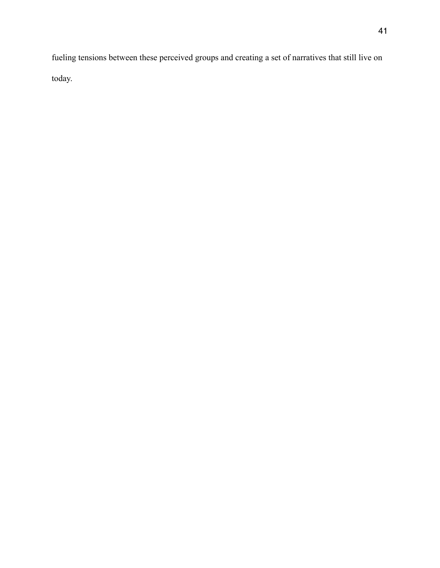fueling tensions between these perceived groups and creating a set of narratives that still live on today.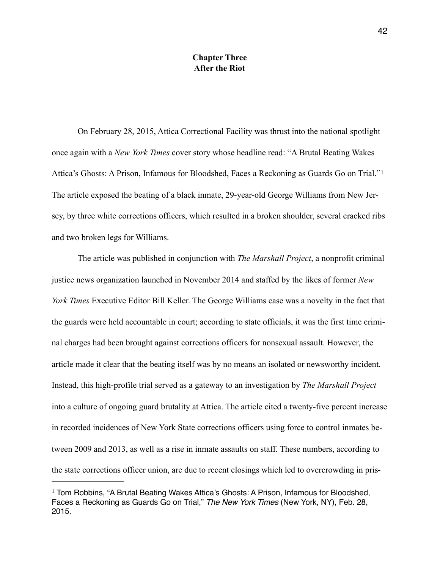## <span id="page-44-1"></span>**Chapter Three After the Riot**

 On February 28, 2015, Attica Correctional Facility was thrust into the national spotlight once again with a *New York Times* cover story whose headline read: "A Brutal Beating Wakes Attica's Ghosts: A Prison, Infamous for Bloodshed, Faces a Reckoning as Guards Go on Trial."[1](#page-44-0) The article exposed the beating of a black inmate, 29-year-old George Williams from New Jersey, by three white corrections officers, which resulted in a broken shoulder, several cracked ribs and two broken legs for Williams.

 The article was published in conjunction with *The Marshall Project*, a nonprofit criminal justice news organization launched in November 2014 and staffed by the likes of former *New York Times* Executive Editor Bill Keller. The George Williams case was a novelty in the fact that the guards were held accountable in court; according to state officials, it was the first time criminal charges had been brought against corrections officers for nonsexual assault. However, the article made it clear that the beating itself was by no means an isolated or newsworthy incident. Instead, this high-profile trial served as a gateway to an investigation by *The Marshall Project*  into a culture of ongoing guard brutality at Attica. The article cited a twenty-five percent increase in recorded incidences of New York State corrections officers using force to control inmates between 2009 and 2013, as well as a rise in inmate assaults on staff. These numbers, according to the state corrections officer union, are due to recent closings which led to overcrowding in pris-

<span id="page-44-0"></span> $1$  Tom Robbins, "A Brutal Beating Wakes Attica's Ghosts: A Prison, Infamous for Bloodshed, Faces a Reckoning as Guards Go on Trial," *The New York Times* (New York, NY), Feb. 28, 2015.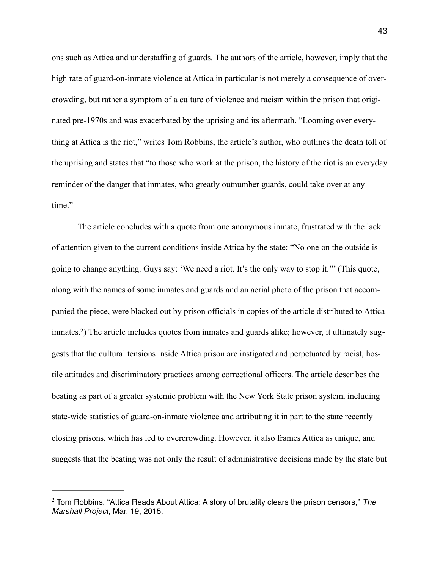ons such as Attica and understaffing of guards. The authors of the article, however, imply that the high rate of guard-on-inmate violence at Attica in particular is not merely a consequence of overcrowding, but rather a symptom of a culture of violence and racism within the prison that originated pre-1970s and was exacerbated by the uprising and its aftermath. "Looming over everything at Attica is the riot," writes Tom Robbins, the article's author, who outlines the death toll of the uprising and states that "to those who work at the prison, the history of the riot is an everyday reminder of the danger that inmates, who greatly outnumber guards, could take over at any time."

<span id="page-45-1"></span> The article concludes with a quote from one anonymous inmate, frustrated with the lack of attention given to the current conditions inside Attica by the state: "No one on the outside is going to change anything. Guys say: 'We need a riot. It's the only way to stop it.'" (This quote, along with the names of some inmates and guards and an aerial photo of the prison that accompanied the piece, were blacked out by prison officials in copies of the article distributed to Attica inmates[.2](#page-45-0)) The article includes quotes from inmates and guards alike; however, it ultimately suggests that the cultural tensions inside Attica prison are instigated and perpetuated by racist, hostile attitudes and discriminatory practices among correctional officers. The article describes the beating as part of a greater systemic problem with the New York State prison system, including state-wide statistics of guard-on-inmate violence and attributing it in part to the state recently closing prisons, which has led to overcrowding. However, it also frames Attica as unique, and suggests that the beating was not only the result of administrative decisions made by the state but

<span id="page-45-0"></span><sup>&</sup>lt;sup>[2](#page-45-1)</sup> Tom Robbins, "Attica Reads About Attica: A story of brutality clears the prison censors," The *Marshall Project,* Mar. 19, 2015.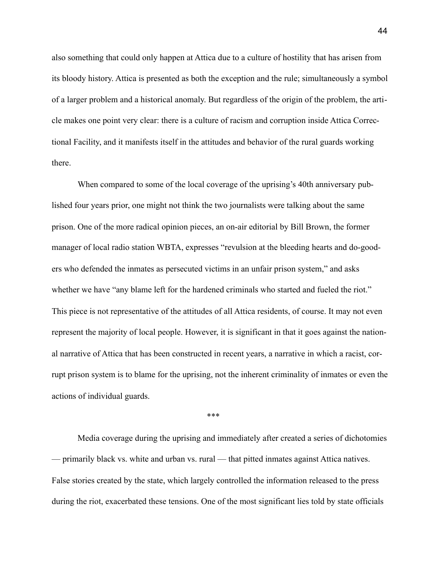also something that could only happen at Attica due to a culture of hostility that has arisen from its bloody history. Attica is presented as both the exception and the rule; simultaneously a symbol of a larger problem and a historical anomaly. But regardless of the origin of the problem, the article makes one point very clear: there is a culture of racism and corruption inside Attica Correctional Facility, and it manifests itself in the attitudes and behavior of the rural guards working there.

 When compared to some of the local coverage of the uprising's 40th anniversary published four years prior, one might not think the two journalists were talking about the same prison. One of the more radical opinion pieces, an on-air editorial by Bill Brown, the former manager of local radio station WBTA, expresses "revulsion at the bleeding hearts and do-gooders who defended the inmates as persecuted victims in an unfair prison system," and asks whether we have "any blame left for the hardened criminals who started and fueled the riot." This piece is not representative of the attitudes of all Attica residents, of course. It may not even represent the majority of local people. However, it is significant in that it goes against the national narrative of Attica that has been constructed in recent years, a narrative in which a racist, corrupt prison system is to blame for the uprising, not the inherent criminality of inmates or even the actions of individual guards.

\*\*\*

 Media coverage during the uprising and immediately after created a series of dichotomies — primarily black vs. white and urban vs. rural — that pitted inmates against Attica natives. False stories created by the state, which largely controlled the information released to the press during the riot, exacerbated these tensions. One of the most significant lies told by state officials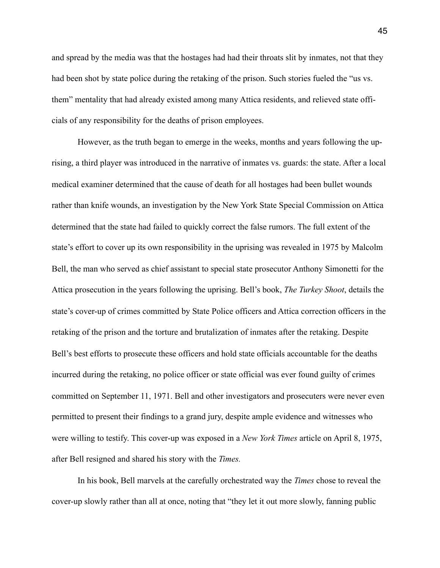and spread by the media was that the hostages had had their throats slit by inmates, not that they had been shot by state police during the retaking of the prison. Such stories fueled the "us vs. them" mentality that had already existed among many Attica residents, and relieved state officials of any responsibility for the deaths of prison employees.

 However, as the truth began to emerge in the weeks, months and years following the uprising, a third player was introduced in the narrative of inmates vs. guards: the state. After a local medical examiner determined that the cause of death for all hostages had been bullet wounds rather than knife wounds, an investigation by the New York State Special Commission on Attica determined that the state had failed to quickly correct the false rumors. The full extent of the state's effort to cover up its own responsibility in the uprising was revealed in 1975 by Malcolm Bell, the man who served as chief assistant to special state prosecutor Anthony Simonetti for the Attica prosecution in the years following the uprising. Bell's book, *The Turkey Shoot*, details the state's cover-up of crimes committed by State Police officers and Attica correction officers in the retaking of the prison and the torture and brutalization of inmates after the retaking. Despite Bell's best efforts to prosecute these officers and hold state officials accountable for the deaths incurred during the retaking, no police officer or state official was ever found guilty of crimes committed on September 11, 1971. Bell and other investigators and prosecuters were never even permitted to present their findings to a grand jury, despite ample evidence and witnesses who were willing to testify. This cover-up was exposed in a *New York Times* article on April 8, 1975, after Bell resigned and shared his story with the *Times.* 

In his book, Bell marvels at the carefully orchestrated way the *Times* chose to reveal the cover-up slowly rather than all at once, noting that "they let it out more slowly, fanning public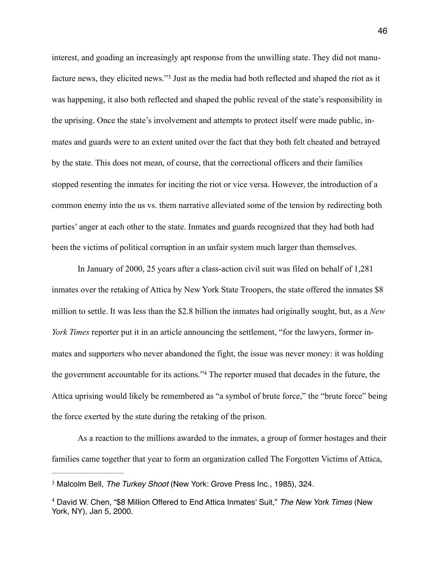<span id="page-48-2"></span>interest, and goading an increasingly apt response from the unwilling state. They did not manu-facturenews, they elicited news."<sup>[3](#page-48-0)</sup> Just as the media had both reflected and shaped the riot as it was happening, it also both reflected and shaped the public reveal of the state's responsibility in the uprising. Once the state's involvement and attempts to protect itself were made public, inmates and guards were to an extent united over the fact that they both felt cheated and betrayed by the state. This does not mean, of course, that the correctional officers and their families stopped resenting the inmates for inciting the riot or vice versa. However, the introduction of a common enemy into the us vs. them narrative alleviated some of the tension by redirecting both parties' anger at each other to the state. Inmates and guards recognized that they had both had been the victims of political corruption in an unfair system much larger than themselves.

 In January of 2000, 25 years after a class-action civil suit was filed on behalf of 1,281 inmates over the retaking of Attica by New York State Troopers, the state offered the inmates \$8 million to settle. It was less than the \$2.8 billion the inmates had originally sought, but, as a *New York Times* reporter put it in an article announcing the settlement, "for the lawyers, former inmates and supporters who never abandoned the fight, the issue was never money: it was holding thegovernment accountable for its actions."<sup>[4](#page-48-1)</sup> The reporter mused that decades in the future, the Attica uprising would likely be remembered as "a symbol of brute force," the "brute force" being the force exerted by the state during the retaking of the prison.

<span id="page-48-3"></span> As a reaction to the millions awarded to the inmates, a group of former hostages and their families came together that year to form an organization called The Forgotten Victims of Attica,

<span id="page-48-0"></span><sup>&</sup>lt;sup>[3](#page-48-2)</sup> Malcolm Bell, *The Turkey Shoot* (New York: Grove Press Inc., 1985), 324.

<span id="page-48-1"></span>David W. Chen, "\$8 Million Offered to End Attica Inmates' Suit," *The New York Times* (New [4](#page-48-3) York, NY), Jan 5, 2000.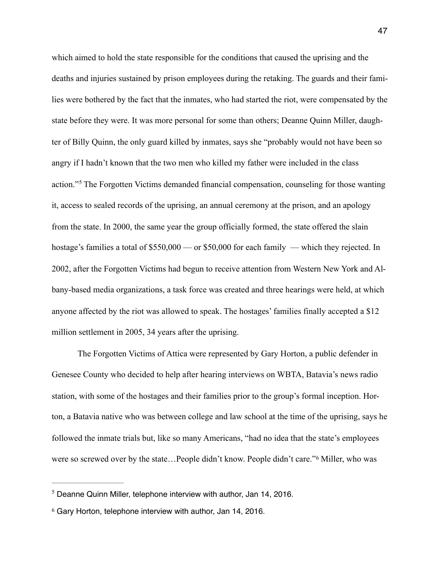<span id="page-49-2"></span>which aimed to hold the state responsible for the conditions that caused the uprising and the deaths and injuries sustained by prison employees during the retaking. The guards and their families were bothered by the fact that the inmates, who had started the riot, were compensated by the state before they were. It was more personal for some than others; Deanne Quinn Miller, daughter of Billy Quinn, the only guard killed by inmates, says she "probably would not have been so angry if I hadn't known that the two men who killed my father were included in the class action."<sup>5</sup>The Forgotten Victims demanded financial compensation, counseling for those wanting it, access to sealed records of the uprising, an annual ceremony at the prison, and an apology from the state. In 2000, the same year the group officially formed, the state offered the slain hostage's families a total of \$550,000 — or \$50,000 for each family — which they rejected. In 2002, after the Forgotten Victims had begun to receive attention from Western New York and Albany-based media organizations, a task force was created and three hearings were held, at which anyone affected by the riot was allowed to speak. The hostages' families finally accepted a \$12 million settlement in 2005, 34 years after the uprising.

 The Forgotten Victims of Attica were represented by Gary Horton, a public defender in Genesee County who decided to help after hearing interviews on WBTA, Batavia's news radio station, with some of the hostages and their families prior to the group's formal inception. Horton, a Batavia native who was between college and law school at the time of the uprising, says he followed the inmate trials but, like so many Americans, "had no idea that the state's employees wereso screwed over by the state...People didn't know. People didn't care."<sup>[6](#page-49-1)</sup> Miller, who was

<span id="page-49-3"></span><span id="page-49-0"></span> $<sup>5</sup>$  $<sup>5</sup>$  $<sup>5</sup>$  Deanne Quinn Miller, telephone interview with author, Jan 14, 2016.</sup>

<span id="page-49-1"></span> $6$  Gary Horton, telephone interview with author, Jan 14, 2016.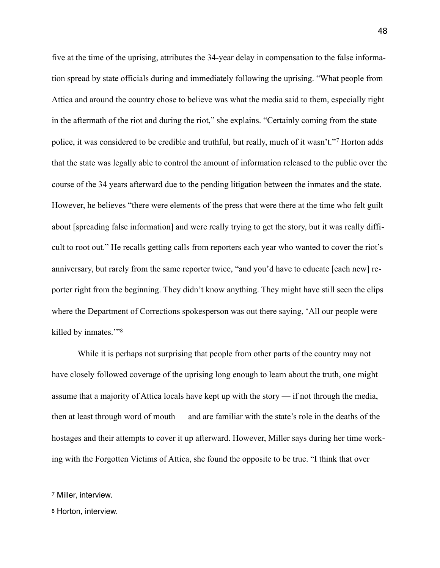<span id="page-50-2"></span>five at the time of the uprising, attributes the 34-year delay in compensation to the false information spread by state officials during and immediately following the uprising. "What people from Attica and around the country chose to believe was what the media said to them, especially right in the aftermath of the riot and during the riot," she explains. "Certainly coming from the state police,it was considered to be credible and truthful, but really, much of it wasn't."<sup>[7](#page-50-0)</sup> Horton adds that the state was legally able to control the amount of information released to the public over the course of the 34 years afterward due to the pending litigation between the inmates and the state. However, he believes "there were elements of the press that were there at the time who felt guilt about [spreading false information] and were really trying to get the story, but it was really difficult to root out." He recalls getting calls from reporters each year who wanted to cover the riot's anniversary, but rarely from the same reporter twice, "and you'd have to educate [each new] reporter right from the beginning. They didn't know anything. They might have still seen the clips where the Department of Corrections spokesperson was out there saying, 'All our people were killed by inmates.'"[8](#page-50-1)

<span id="page-50-3"></span> While it is perhaps not surprising that people from other parts of the country may not have closely followed coverage of the uprising long enough to learn about the truth, one might assume that a majority of Attica locals have kept up with the story — if not through the media, then at least through word of mouth — and are familiar with the state's role in the deaths of the hostages and their attempts to cover it up afterward. However, Miller says during her time working with the Forgotten Victims of Attica, she found the opposite to be true. "I think that over

<span id="page-50-0"></span>[<sup>7</sup>](#page-50-2) Miller, interview.

<span id="page-50-1"></span>[<sup>8</sup>](#page-50-3) Horton, interview.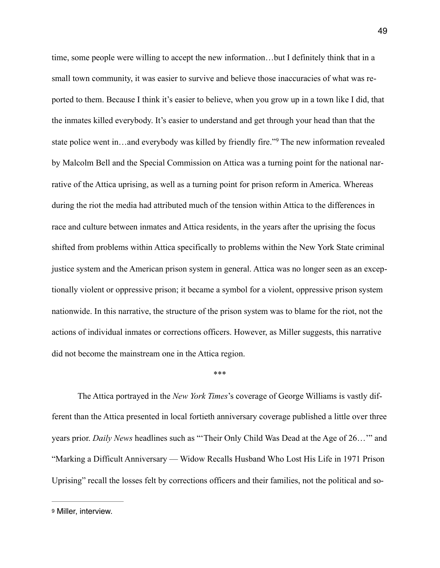time, some people were willing to accept the new information…but I definitely think that in a small town community, it was easier to survive and believe those inaccuracies of what was reported to them. Because I think it's easier to believe, when you grow up in a town like I did, that the inmates killed everybody. It's easier to understand and get through your head than that the statepolice went in…and everybody was killed by friendly fire."<sup>[9](#page-51-0)</sup> The new information revealed by Malcolm Bell and the Special Commission on Attica was a turning point for the national narrative of the Attica uprising, as well as a turning point for prison reform in America. Whereas during the riot the media had attributed much of the tension within Attica to the differences in race and culture between inmates and Attica residents, in the years after the uprising the focus shifted from problems within Attica specifically to problems within the New York State criminal justice system and the American prison system in general. Attica was no longer seen as an exceptionally violent or oppressive prison; it became a symbol for a violent, oppressive prison system nationwide. In this narrative, the structure of the prison system was to blame for the riot, not the actions of individual inmates or corrections officers. However, as Miller suggests, this narrative did not become the mainstream one in the Attica region.

## <span id="page-51-1"></span>\*\*\*

 The Attica portrayed in the *New York Times*'s coverage of George Williams is vastly different than the Attica presented in local fortieth anniversary coverage published a little over three years prior. *Daily News* headlines such as "'Their Only Child Was Dead at the Age of 26…'" and "Marking a Difficult Anniversary — Widow Recalls Husband Who Lost His Life in 1971 Prison Uprising" recall the losses felt by corrections officers and their families, not the political and so-

<span id="page-51-0"></span>[<sup>9</sup>](#page-51-1) Miller, interview.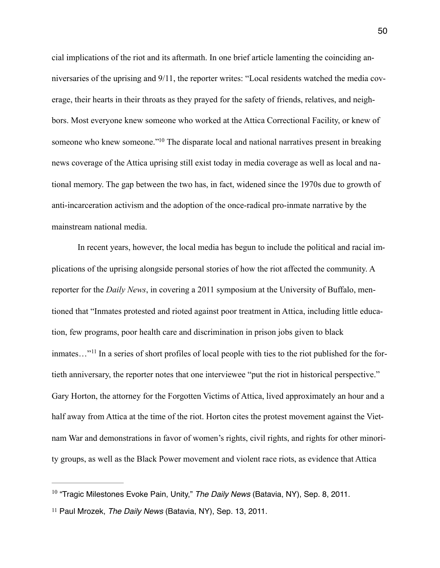<span id="page-52-2"></span>cial implications of the riot and its aftermath. In one brief article lamenting the coinciding anniversaries of the uprising and 9/11, the reporter writes: "Local residents watched the media coverage, their hearts in their throats as they prayed for the safety of friends, relatives, and neighbors. Most everyone knew someone who worked at the Attica Correctional Facility, or knew of someone who knew someone.["](#page-52-0)<sup>[10](#page-52-0)</sup> The disparate local and national narratives present in breaking news coverage of the Attica uprising still exist today in media coverage as well as local and national memory. The gap between the two has, in fact, widened since the 1970s due to growth of anti-incarceration activism and the adoption of the once-radical pro-inmate narrative by the mainstream national media.

<span id="page-52-3"></span> In recent years, however, the local media has begun to include the political and racial implications of the uprising alongside personal stories of how the riot affected the community. A reporter for the *Daily News*, in covering a 2011 symposium at the University of Buffalo, mentioned that "Inmates protested and rioted against poor treatment in Attica, including little education, few programs, poor health care and discrimination in prison jobs given to black inmates..."<sup>11</sup> In a series of short profiles of local people with ties to the riot published for the fortieth anniversary, the reporter notes that one interviewee "put the riot in historical perspective." Gary Horton, the attorney for the Forgotten Victims of Attica, lived approximately an hour and a half away from Attica at the time of the riot. Horton cites the protest movement against the Vietnam War and demonstrations in favor of women's rights, civil rights, and rights for other minority groups, as well as the Black Power movement and violent race riots, as evidence that Attica

<span id="page-52-0"></span><sup>&</sup>lt;sup>[10](#page-52-2)</sup> "Tragic Milestones Evoke Pain, Unity," *The Daily News* (Batavia, NY), Sep. 8, 2011.

<span id="page-52-1"></span><sup>&</sup>lt;sup>[11](#page-52-3)</sup> Paul Mrozek, *The Daily News* (Batavia, NY), Sep. 13, 2011.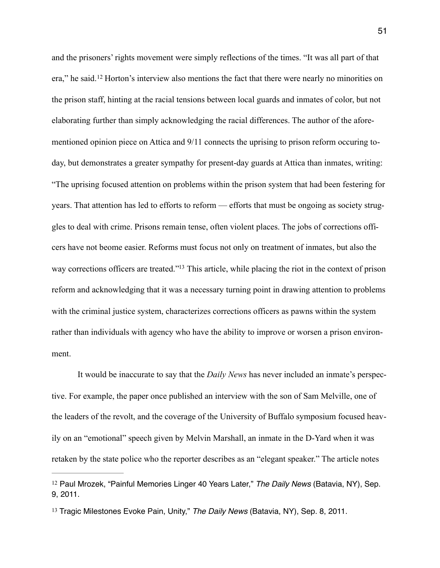<span id="page-53-2"></span>and the prisoners' rights movement were simply reflections of the times. "It was all part of that era,"he said.<sup>[12](#page-53-0)</sup> Horton's interview also mentions the fact that there were nearly no minorities on the prison staff, hinting at the racial tensions between local guards and inmates of color, but not elaborating further than simply acknowledging the racial differences. The author of the aforementioned opinion piece on Attica and 9/11 connects the uprising to prison reform occuring today, but demonstrates a greater sympathy for present-day guards at Attica than inmates, writing: "The uprising focused attention on problems within the prison system that had been festering for years. That attention has led to efforts to reform — efforts that must be ongoing as society struggles to deal with crime. Prisons remain tense, often violent places. The jobs of corrections officers have not beome easier. Reforms must focus not only on treatment of inmates, but also the way corrections officers are treated.["](#page-53-1)<sup>[13](#page-53-1)</sup> This article, while placing the riot in the context of prison reform and acknowledging that it was a necessary turning point in drawing attention to problems with the criminal justice system, characterizes corrections officers as pawns within the system rather than individuals with agency who have the ability to improve or worsen a prison environment.

<span id="page-53-3"></span> It would be inaccurate to say that the *Daily News* has never included an inmate's perspective. For example, the paper once published an interview with the son of Sam Melville, one of the leaders of the revolt, and the coverage of the University of Buffalo symposium focused heavily on an "emotional" speech given by Melvin Marshall, an inmate in the D-Yard when it was retaken by the state police who the reporter describes as an "elegant speaker." The article notes

<span id="page-53-0"></span><sup>&</sup>lt;sup>[12](#page-53-2)</sup> Paul Mrozek, "Painful Memories Linger 40 Years Later," *The Daily News* (Batavia, NY), Sep. 9, 2011.

<span id="page-53-1"></span><sup>&</sup>lt;sup>[13](#page-53-3)</sup> Tragic Milestones Evoke Pain, Unity," The Daily News (Batavia, NY), Sep. 8, 2011.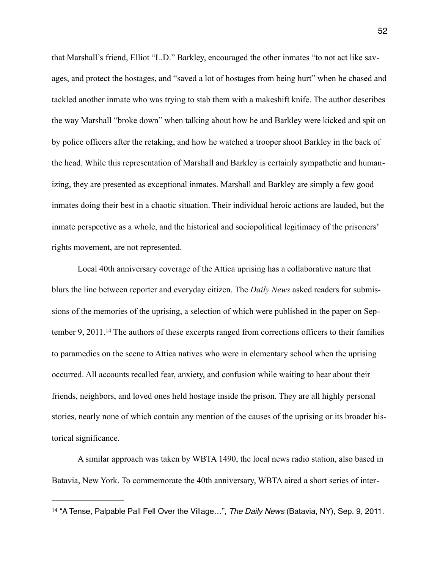that Marshall's friend, Elliot "L.D." Barkley, encouraged the other inmates "to not act like savages, and protect the hostages, and "saved a lot of hostages from being hurt" when he chased and tackled another inmate who was trying to stab them with a makeshift knife. The author describes the way Marshall "broke down" when talking about how he and Barkley were kicked and spit on by police officers after the retaking, and how he watched a trooper shoot Barkley in the back of the head. While this representation of Marshall and Barkley is certainly sympathetic and humanizing, they are presented as exceptional inmates. Marshall and Barkley are simply a few good inmates doing their best in a chaotic situation. Their individual heroic actions are lauded, but the inmate perspective as a whole, and the historical and sociopolitical legitimacy of the prisoners' rights movement, are not represented.

<span id="page-54-1"></span> Local 40th anniversary coverage of the Attica uprising has a collaborative nature that blurs the line between reporter and everyday citizen. The *Daily News* asked readers for submissions of the memories of the uprising, a selection of which were published in the paper on Sep-tember9, 2011.<sup>[14](#page-54-0)</sup> The authors of these excerpts ranged from corrections officers to their families to paramedics on the scene to Attica natives who were in elementary school when the uprising occurred. All accounts recalled fear, anxiety, and confusion while waiting to hear about their friends, neighbors, and loved ones held hostage inside the prison. They are all highly personal stories, nearly none of which contain any mention of the causes of the uprising or its broader historical significance.

 A similar approach was taken by WBTA 1490, the local news radio station, also based in Batavia, New York. To commemorate the 40th anniversary, WBTA aired a short series of inter-

<span id="page-54-0"></span><sup>&</sup>lt;sup>[14](#page-54-1)</sup> "A Tense, Palpable Pall Fell Over the Village...", *The Daily News* (Batavia, NY), Sep. 9, 2011.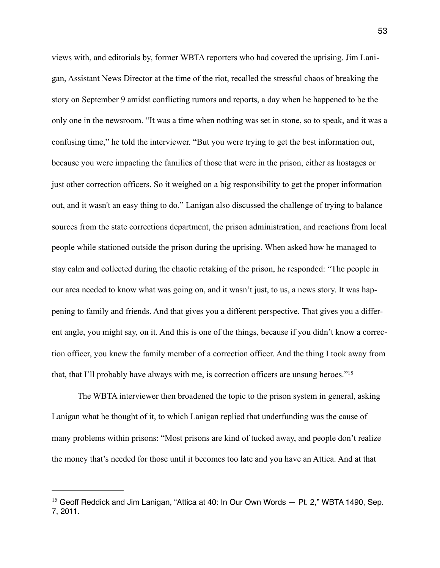views with, and editorials by, former WBTA reporters who had covered the uprising. Jim Lanigan, Assistant News Director at the time of the riot, recalled the stressful chaos of breaking the story on September 9 amidst conflicting rumors and reports, a day when he happened to be the only one in the newsroom. "It was a time when nothing was set in stone, so to speak, and it was a confusing time," he told the interviewer. "But you were trying to get the best information out, because you were impacting the families of those that were in the prison, either as hostages or just other correction officers. So it weighed on a big responsibility to get the proper information out, and it wasn't an easy thing to do." Lanigan also discussed the challenge of trying to balance sources from the state corrections department, the prison administration, and reactions from local people while stationed outside the prison during the uprising. When asked how he managed to stay calm and collected during the chaotic retaking of the prison, he responded: "The people in our area needed to know what was going on, and it wasn't just, to us, a news story. It was happening to family and friends. And that gives you a different perspective. That gives you a different angle, you might say, on it. And this is one of the things, because if you didn't know a correction officer, you knew the family member of a correction officer. And the thing I took away from that, that I'll probably have always with me, is correction officers are unsung heroes.["](#page-55-0) [15](#page-55-0)

<span id="page-55-1"></span> The WBTA interviewer then broadened the topic to the prison system in general, asking Lanigan what he thought of it, to which Lanigan replied that underfunding was the cause of many problems within prisons: "Most prisons are kind of tucked away, and people don't realize the money that's needed for those until it becomes too late and you have an Attica. And at that

<span id="page-55-0"></span><sup>&</sup>lt;sup>[15](#page-55-1)</sup> Geoff Reddick and Jim Lanigan, "Attica at 40: In Our Own Words  $-$  Pt. 2," WBTA 1490, Sep. 7, 2011.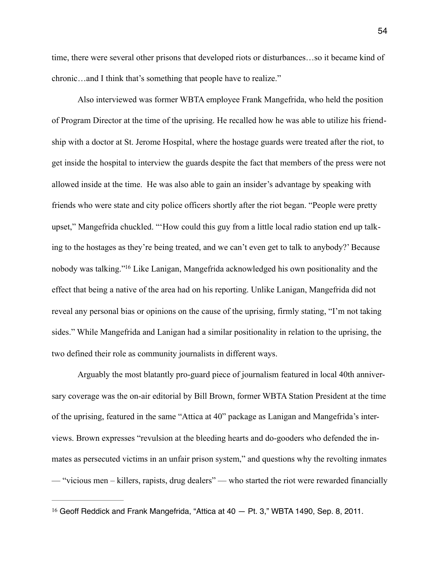time, there were several other prisons that developed riots or disturbances…so it became kind of chronic…and I think that's something that people have to realize."

 Also interviewed was former WBTA employee Frank Mangefrida, who held the position of Program Director at the time of the uprising. He recalled how he was able to utilize his friendship with a doctor at St. Jerome Hospital, where the hostage guards were treated after the riot, to get inside the hospital to interview the guards despite the fact that members of the press were not allowed inside at the time. He was also able to gain an insider's advantage by speaking with friends who were state and city police officers shortly after the riot began. "People were pretty upset," Mangefrida chuckled. "'How could this guy from a little local radio station end up talking to the hostages as they're being treated, and we can't even get to talk to anybody?' Because nobody was talking.["](#page-56-0)<sup>[16](#page-56-0)</sup> Like Lanigan, Mangefrida acknowledged his own positionality and the effect that being a native of the area had on his reporting. Unlike Lanigan, Mangefrida did not reveal any personal bias or opinions on the cause of the uprising, firmly stating, "I'm not taking sides." While Mangefrida and Lanigan had a similar positionality in relation to the uprising, the two defined their role as community journalists in different ways.

<span id="page-56-1"></span> Arguably the most blatantly pro-guard piece of journalism featured in local 40th anniversary coverage was the on-air editorial by Bill Brown, former WBTA Station President at the time of the uprising, featured in the same "Attica at 40" package as Lanigan and Mangefrida's interviews. Brown expresses "revulsion at the bleeding hearts and do-gooders who defended the inmates as persecuted victims in an unfair prison system," and questions why the revolting inmates — "vicious men – killers, rapists, drug dealers" — who started the riot were rewarded financially

<span id="page-56-0"></span><sup>&</sup>lt;sup>[16](#page-56-1)</sup> Geoff Reddick and Frank Mangefrida, "Attica at  $40 -$  Pt. 3," WBTA 1490, Sep. 8, 2011.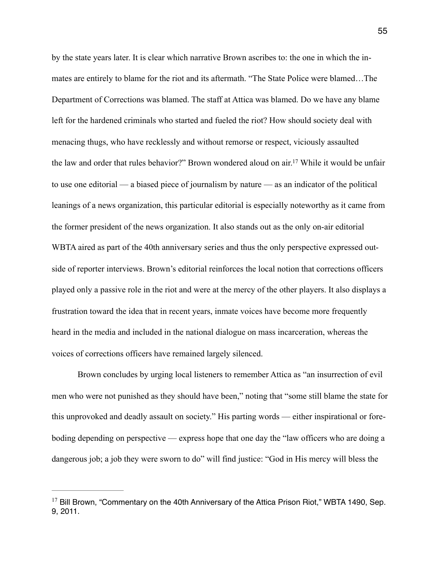<span id="page-57-1"></span>by the state years later. It is clear which narrative Brown ascribes to: the one in which the inmates are entirely to blame for the riot and its aftermath. "The State Police were blamed…The Department of Corrections was blamed. The staff at Attica was blamed. Do we have any blame left for the hardened criminals who started and fueled the riot? How should society deal with menacing thugs, who have recklessly and without remorse or respect, viciously assaulted the law and order that rules behavior?" Brown wondered aloud on air[.](#page-57-0)<sup>[17](#page-57-0)</sup> While it would be unfair to use one editorial — a biased piece of journalism by nature — as an indicator of the political leanings of a news organization, this particular editorial is especially noteworthy as it came from the former president of the news organization. It also stands out as the only on-air editorial WBTA aired as part of the 40th anniversary series and thus the only perspective expressed outside of reporter interviews. Brown's editorial reinforces the local notion that corrections officers played only a passive role in the riot and were at the mercy of the other players. It also displays a frustration toward the idea that in recent years, inmate voices have become more frequently heard in the media and included in the national dialogue on mass incarceration, whereas the voices of corrections officers have remained largely silenced.

 Brown concludes by urging local listeners to remember Attica as "an insurrection of evil men who were not punished as they should have been," noting that "some still blame the state for this unprovoked and deadly assault on society." His parting words — either inspirational or foreboding depending on perspective — express hope that one day the "law officers who are doing a dangerous job; a job they were sworn to do" will find justice: "God in His mercy will bless the

<span id="page-57-0"></span> $17$  Bill Brown, "Commentary on the 40th Anniversary of the Attica Prison Riot," WBTA 1490, Sep. 9, 2011.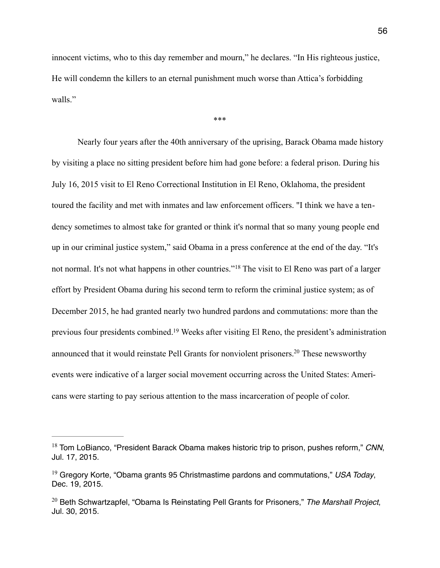innocent victims, who to this day remember and mourn," he declares. "In His righteous justice, He will condemn the killers to an eternal punishment much worse than Attica's forbidding walls."

<span id="page-58-5"></span><span id="page-58-3"></span>\*\*\*

 Nearly four years after the 40th anniversary of the uprising, Barack Obama made history by visiting a place no sitting president before him had gone before: a federal prison. During his July 16, 2015 visit to El Reno Correctional Institution in El Reno, Oklahoma, the president toured the facility and met with inmates and law enforcement officers. "I think we have a tendency sometimes to almost take for granted or think it's normal that so many young people end up in our criminal justice system," said Obama in a press conference at the end of the day. "It's notnormal. It's not what happens in other countries."<sup>[18](#page-58-0)</sup> The visit to El Reno was part of a larger effort by President Obama during his second term to reform the criminal justice system; as of December 2015, he had granted nearly two hundred pardons and commutations: more than the previous four presidents combined[.](#page-58-1)<sup>[19](#page-58-1)</sup> Weeks after visiting El Reno, the president's administration announced that it would reinstate Pell Grants for nonviolent prisoners[.](#page-58-2)<sup>[20](#page-58-2)</sup> These newsworthy events were indicative of a larger social movement occurring across the United States: Americans were starting to pay serious attention to the mass incarceration of people of color.

<span id="page-58-4"></span><span id="page-58-0"></span><sup>&</sup>lt;sup>[18](#page-58-3)</sup> Tom LoBianco, "President Barack Obama makes historic trip to prison, pushes reform," *CNN*, Jul. 17, 2015.

<span id="page-58-1"></span><sup>&</sup>lt;sup>[19](#page-58-4)</sup> Gregory Korte, "Obama grants 95 Christmastime pardons and commutations," USA Today, Dec. 19, 2015.

<span id="page-58-2"></span><sup>&</sup>lt;sup>[20](#page-58-5)</sup> Beth Schwartzapfel, "Obama Is Reinstating Pell Grants for Prisoners," The Marshall Project, Jul. 30, 2015.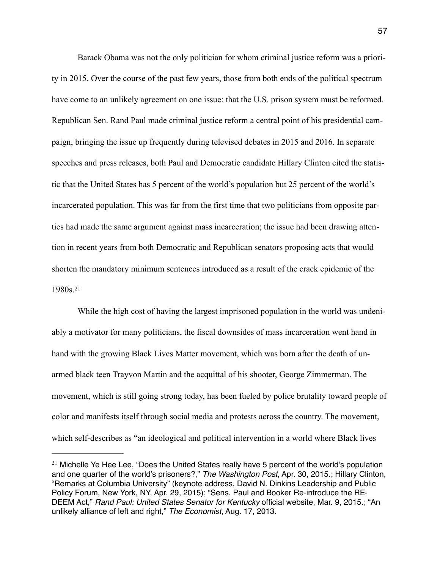Barack Obama was not the only politician for whom criminal justice reform was a priority in 2015. Over the course of the past few years, those from both ends of the political spectrum have come to an unlikely agreement on one issue: that the U.S. prison system must be reformed. Republican Sen. Rand Paul made criminal justice reform a central point of his presidential campaign, bringing the issue up frequently during televised debates in 2015 and 2016. In separate speeches and press releases, both Paul and Democratic candidate Hillary Clinton cited the statistic that the United States has 5 percent of the world's population but 25 percent of the world's incarcerated population. This was far from the first time that two politicians from opposite parties had made the same argument against mass incarceration; the issue had been drawing attention in recent years from both Democratic and Republican senators proposing acts that would shorten the mandatory minimum sentences introduced as a result of the crack epidemic of the 1980s.[21](#page-59-0)

<span id="page-59-1"></span> While the high cost of having the largest imprisoned population in the world was undeniably a motivator for many politicians, the fiscal downsides of mass incarceration went hand in hand with the growing Black Lives Matter movement, which was born after the death of unarmed black teen Trayvon Martin and the acquittal of his shooter, George Zimmerman. The movement, which is still going strong today, has been fueled by police brutality toward people of color and manifests itself through social media and protests across the country. The movement, which self-describes as "an ideological and political intervention in a world where Black lives

<span id="page-59-0"></span> $21$  Michelle Ye Hee Lee, "Does the United States really have 5 percent of the world's population and one quarter of the world's prisoners?," *The Washington Post*, Apr. 30, 2015.; Hillary Clinton, "Remarks at Columbia University" (keynote address, David N. Dinkins Leadership and Public Policy Forum, New York, NY, Apr. 29, 2015); "Sens. Paul and Booker Re-introduce the RE-DEEM Act," *Rand Paul: United States Senator for Kentucky* official website, Mar. 9, 2015.; "An unlikely alliance of left and right," *The Economist*, Aug. 17, 2013.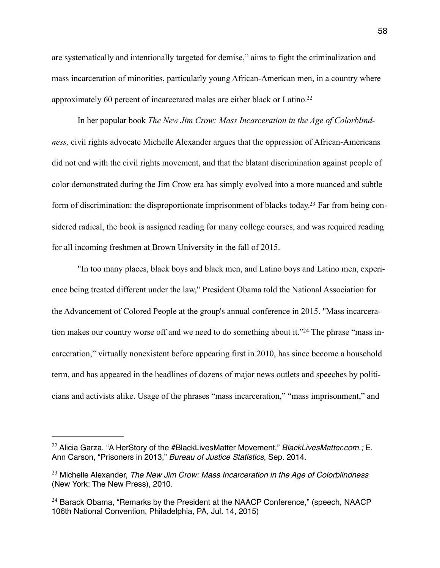are systematically and intentionally targeted for demise," aims to fight the criminalization and mass incarceration of minorities, particularly young African-American men, in a country where approximately 60 percent of incarcerated males are either black or Latino.[22](#page-60-0)

<span id="page-60-3"></span> In her popular book *The New Jim Crow: Mass Incarceration in the Age of Colorblindness,* civil rights advocate Michelle Alexander argues that the oppression of African-Americans did not end with the civil rights movement, and that the blatant discrimination against people of color demonstrated during the Jim Crow era has simply evolved into a more nuanced and subtle form of discrimination: the disproportionate imprisonment of blacks today.[23](#page-60-1) Far from being considered radical, the book is assigned reading for many college courses, and was required reading for all incoming freshmen at Brown University in the fall of 2015.

<span id="page-60-5"></span><span id="page-60-4"></span> "In too many places, black boys and black men, and Latino boys and Latino men, experience being treated different under the law," President Obama told the National Association for the Advancement of Colored People at the group's annual conference in 2015. "Mass incarceration makes our country worse off and we need to do something about it."<sup>24</sup> The phrase "mass incarceration," virtually nonexistent before appearing first in 2010, has since become a household term, and has appeared in the headlines of dozens of major news outlets and speeches by politicians and activists alike. Usage of the phrases "mass incarceration," "mass imprisonment," and

<span id="page-60-0"></span><sup>&</sup>lt;sup>[22](#page-60-3)</sup> Alicia Garza, "A HerStory of the #BlackLivesMatter Movement," *BlackLivesMatter.com.*; E. Ann Carson, "Prisoners in 2013," *Bureau of Justice Statistics*, Sep. 2014.

<span id="page-60-1"></span><sup>&</sup>lt;sup>[23](#page-60-4)</sup> Michelle Alexander, *The New Jim Crow: Mass Incarceration in the Age of Colorblindness* (New York: The New Press), 2010.

<span id="page-60-2"></span> $24$  Barack Obama, "Remarks by the President at the NAACP Conference," (speech, NAACP 106th National Convention, Philadelphia, PA, Jul. 14, 2015)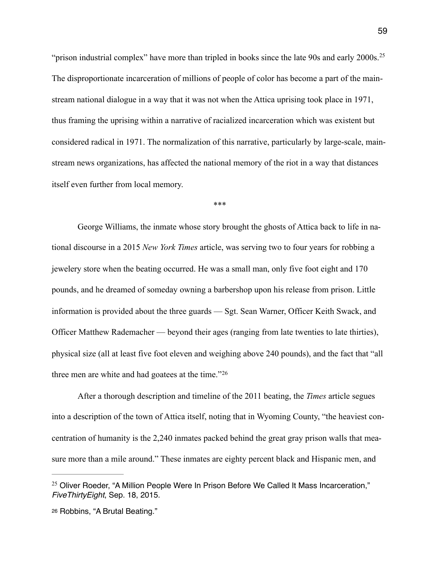"prison industrial complex" have more than tripled in books since the late 90s and early  $2000s$ .<sup>[25](#page-61-0)</sup> The disproportionate incarceration of millions of people of color has become a part of the mainstream national dialogue in a way that it was not when the Attica uprising took place in 1971, thus framing the uprising within a narrative of racialized incarceration which was existent but considered radical in 1971. The normalization of this narrative, particularly by large-scale, mainstream news organizations, has affected the national memory of the riot in a way that distances itself even further from local memory.

<span id="page-61-2"></span>\*\*\*

 George Williams, the inmate whose story brought the ghosts of Attica back to life in national discourse in a 2015 *New York Times* article, was serving two to four years for robbing a jewelery store when the beating occurred. He was a small man, only five foot eight and 170 pounds, and he dreamed of someday owning a barbershop upon his release from prison. Little information is provided about the three guards — Sgt. Sean Warner, Officer Keith Swack, and Officer Matthew Rademacher — beyond their ages (ranging from late twenties to late thirties), physical size (all at least five foot eleven and weighing above 240 pounds), and the fact that "all three men are white and had goatees at the time."[26](#page-61-1)

<span id="page-61-3"></span> After a thorough description and timeline of the 2011 beating, the *Times* article segues into a description of the town of Attica itself, noting that in Wyoming County, "the heaviest concentration of humanity is the 2,240 inmates packed behind the great gray prison walls that measure more than a mile around." These inmates are eighty percent black and Hispanic men, and

<span id="page-61-0"></span> $25$  Oliver Roeder, "A Million People Were In Prison Before We Called It Mass Incarceration," *FiveThirtyEight*, Sep. 18, 2015.

<span id="page-61-1"></span>[<sup>26</sup>](#page-61-3) Robbins, "A Brutal Beating."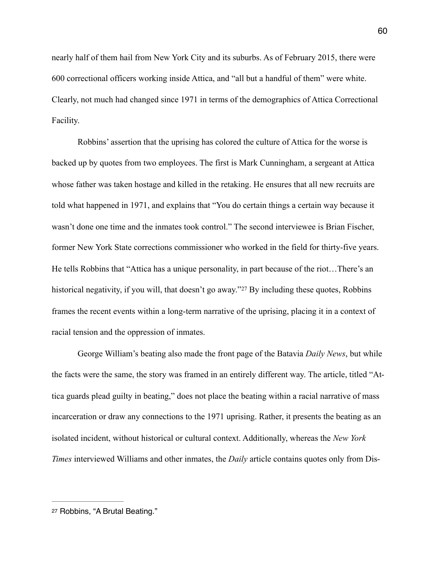nearly half of them hail from New York City and its suburbs. As of February 2015, there were 600 correctional officers working inside Attica, and "all but a handful of them" were white. Clearly, not much had changed since 1971 in terms of the demographics of Attica Correctional Facility.

 Robbins' assertion that the uprising has colored the culture of Attica for the worse is backed up by quotes from two employees. The first is Mark Cunningham, a sergeant at Attica whose father was taken hostage and killed in the retaking. He ensures that all new recruits are told what happened in 1971, and explains that "You do certain things a certain way because it wasn't done one time and the inmates took control." The second interviewee is Brian Fischer, former New York State corrections commissioner who worked in the field for thirty-five years. He tells Robbins that "Attica has a unique personality, in part because of the riot…There's an historicalnegativity, if you will, that doesn't go away."<sup>[27](#page-62-0)</sup> By including these quotes, Robbins frames the recent events within a long-term narrative of the uprising, placing it in a context of racial tension and the oppression of inmates.

<span id="page-62-1"></span> George William's beating also made the front page of the Batavia *Daily News*, but while the facts were the same, the story was framed in an entirely different way. The article, titled "Attica guards plead guilty in beating," does not place the beating within a racial narrative of mass incarceration or draw any connections to the 1971 uprising. Rather, it presents the beating as an isolated incident, without historical or cultural context. Additionally, whereas the *New York Times* interviewed Williams and other inmates, the *Daily* article contains quotes only from Dis-

<span id="page-62-0"></span>[<sup>27</sup>](#page-62-1) Robbins, "A Brutal Beating."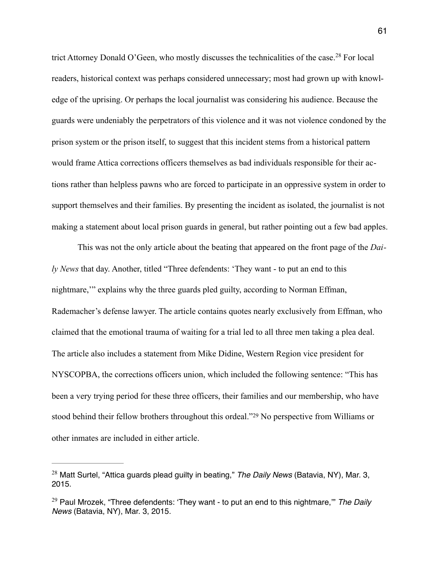<span id="page-63-2"></span>trictAttorney Donald O'Geen, who mostly discusses the technicalities of the case.<sup>[28](#page-63-0)</sup> For local readers, historical context was perhaps considered unnecessary; most had grown up with knowledge of the uprising. Or perhaps the local journalist was considering his audience. Because the guards were undeniably the perpetrators of this violence and it was not violence condoned by the prison system or the prison itself, to suggest that this incident stems from a historical pattern would frame Attica corrections officers themselves as bad individuals responsible for their actions rather than helpless pawns who are forced to participate in an oppressive system in order to support themselves and their families. By presenting the incident as isolated, the journalist is not making a statement about local prison guards in general, but rather pointing out a few bad apples.

 This was not the only article about the beating that appeared on the front page of the *Daily News* that day. Another, titled "Three defendents: 'They want - to put an end to this nightmare,'" explains why the three guards pled guilty, according to Norman Effman, Rademacher's defense lawyer. The article contains quotes nearly exclusively from Effman, who claimed that the emotional trauma of waiting for a trial led to all three men taking a plea deal. The article also includes a statement from Mike Didine, Western Region vice president for NYSCOPBA, the corrections officers union, which included the following sentence: "This has been a very trying period for these three officers, their families and our membership, who have stoodbehind their fellow brothers throughout this ordeal."<sup>[29](#page-63-1)</sup> No perspective from Williams or other inmates are included in either article.

<span id="page-63-3"></span><span id="page-63-0"></span><sup>&</sup>lt;sup>[28](#page-63-2)</sup> Matt Surtel, "Attica guards plead guilty in beating," *The Daily News* (Batavia, NY), Mar. 3, 2015.

<span id="page-63-1"></span><sup>&</sup>lt;sup>[29](#page-63-3)</sup> Paul Mrozek, "Three defendents: 'They want - to put an end to this nightmare," The Daily *News* (Batavia, NY), Mar. 3, 2015.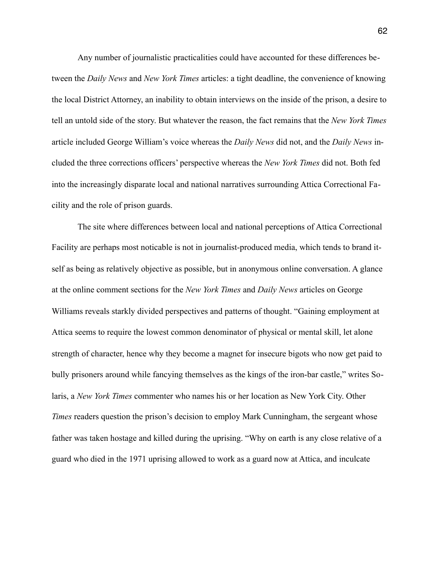Any number of journalistic practicalities could have accounted for these differences between the *Daily News* and *New York Times* articles: a tight deadline, the convenience of knowing the local District Attorney, an inability to obtain interviews on the inside of the prison, a desire to tell an untold side of the story. But whatever the reason, the fact remains that the *New York Times*  article included George William's voice whereas the *Daily News* did not, and the *Daily News* included the three corrections officers' perspective whereas the *New York Times* did not. Both fed into the increasingly disparate local and national narratives surrounding Attica Correctional Facility and the role of prison guards.

 The site where differences between local and national perceptions of Attica Correctional Facility are perhaps most noticable is not in journalist-produced media, which tends to brand itself as being as relatively objective as possible, but in anonymous online conversation. A glance at the online comment sections for the *New York Times* and *Daily News* articles on George Williams reveals starkly divided perspectives and patterns of thought. "Gaining employment at Attica seems to require the lowest common denominator of physical or mental skill, let alone strength of character, hence why they become a magnet for insecure bigots who now get paid to bully prisoners around while fancying themselves as the kings of the iron-bar castle," writes Solaris, a *New York Times* commenter who names his or her location as New York City. Other *Times* readers question the prison's decision to employ Mark Cunningham, the sergeant whose father was taken hostage and killed during the uprising. "Why on earth is any close relative of a guard who died in the 1971 uprising allowed to work as a guard now at Attica, and inculcate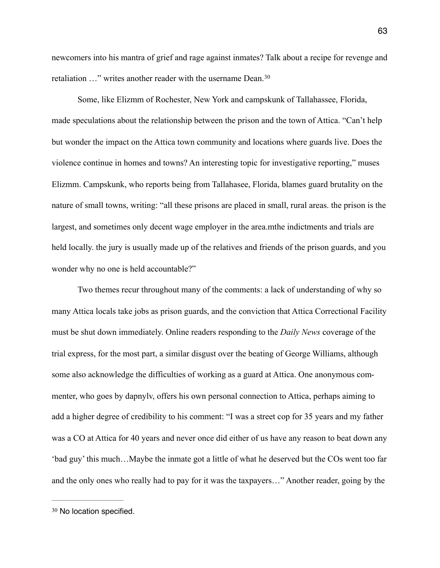newcomers into his mantra of grief and rage against inmates? Talk about a recipe for revenge and retaliation …" writes another reader with the username Dean. [30](#page-65-0)

<span id="page-65-1"></span> Some, like Elizmm of Rochester, New York and campskunk of Tallahassee, Florida, made speculations about the relationship between the prison and the town of Attica. "Can't help but wonder the impact on the Attica town community and locations where guards live. Does the violence continue in homes and towns? An interesting topic for investigative reporting," muses Elizmm. Campskunk, who reports being from Tallahasee, Florida, blames guard brutality on the nature of small towns, writing: "all these prisons are placed in small, rural areas. the prison is the largest, and sometimes only decent wage employer in the area.mthe indictments and trials are held locally. the jury is usually made up of the relatives and friends of the prison guards, and you wonder why no one is held accountable?"

 Two themes recur throughout many of the comments: a lack of understanding of why so many Attica locals take jobs as prison guards, and the conviction that Attica Correctional Facility must be shut down immediately. Online readers responding to the *Daily News* coverage of the trial express, for the most part, a similar disgust over the beating of George Williams, although some also acknowledge the difficulties of working as a guard at Attica. One anonymous commenter, who goes by dapnylv, offers his own personal connection to Attica, perhaps aiming to add a higher degree of credibility to his comment: "I was a street cop for 35 years and my father was a CO at Attica for 40 years and never once did either of us have any reason to beat down any 'bad guy' this much…Maybe the inmate got a little of what he deserved but the COs went too far and the only ones who really had to pay for it was the taxpayers…" Another reader, going by the

<span id="page-65-0"></span>[<sup>30</sup>](#page-65-1) No location specified.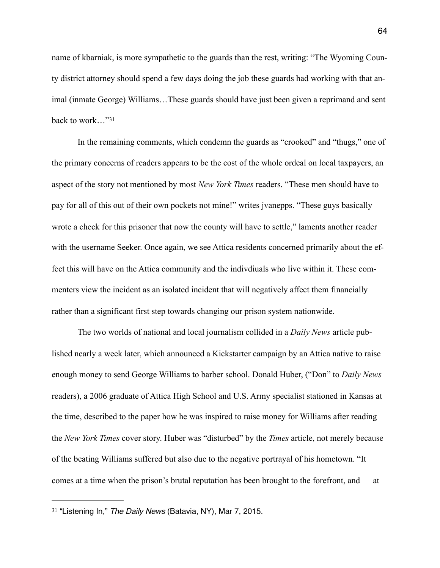name of kbarniak, is more sympathetic to the guards than the rest, writing: "The Wyoming County district attorney should spend a few days doing the job these guards had working with that animal (inmate George) Williams…These guards should have just been given a reprimand and sent back to work…"[31](#page-66-0)

<span id="page-66-1"></span> In the remaining comments, which condemn the guards as "crooked" and "thugs," one of the primary concerns of readers appears to be the cost of the whole ordeal on local taxpayers, an aspect of the story not mentioned by most *New York Times* readers. "These men should have to pay for all of this out of their own pockets not mine!" writes jvanepps. "These guys basically wrote a check for this prisoner that now the county will have to settle," laments another reader with the username Seeker. Once again, we see Attica residents concerned primarily about the effect this will have on the Attica community and the indivdiuals who live within it. These commenters view the incident as an isolated incident that will negatively affect them financially rather than a significant first step towards changing our prison system nationwide.

 The two worlds of national and local journalism collided in a *Daily News* article published nearly a week later, which announced a Kickstarter campaign by an Attica native to raise enough money to send George Williams to barber school. Donald Huber, ("Don" to *Daily News*  readers), a 2006 graduate of Attica High School and U.S. Army specialist stationed in Kansas at the time, described to the paper how he was inspired to raise money for Williams after reading the *New York Times* cover story. Huber was "disturbed" by the *Times* article, not merely because of the beating Williams suffered but also due to the negative portrayal of his hometown. "It comes at a time when the prison's brutal reputation has been brought to the forefront, and — at

<span id="page-66-0"></span><sup>&</sup>lt;sup>[31](#page-66-1)</sup> "Listening In," The Daily News (Batavia, NY), Mar 7, 2015.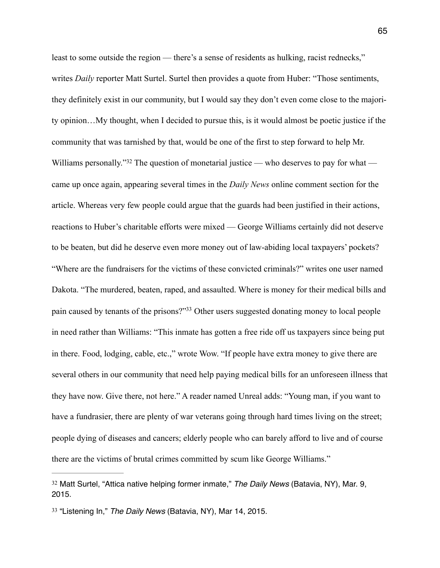<span id="page-67-2"></span>least to some outside the region — there's a sense of residents as hulking, racist rednecks," writes *Daily* reporter Matt Surtel. Surtel then provides a quote from Huber: "Those sentiments, they definitely exist in our community, but I would say they don't even come close to the majority opinion…My thought, when I decided to pursue this, is it would almost be poetic justice if the community that was tarnished by that, would be one of the first to step forward to help Mr. Williams personally.["](#page-67-0)<sup>[32](#page-67-0)</sup> The question of monetarial justice — who deserves to pay for what came up once again, appearing several times in the *Daily News* online comment section for the article. Whereas very few people could argue that the guards had been justified in their actions, reactions to Huber's charitable efforts were mixed — George Williams certainly did not deserve to be beaten, but did he deserve even more money out of law-abiding local taxpayers' pockets? "Where are the fundraisers for the victims of these convicted criminals?" writes one user named Dakota. "The murdered, beaten, raped, and assaulted. Where is money for their medical bills and pain caused by tenants of the prisons?"<sup>[33](#page-67-1)</sup> Other users suggested donating money to local people in need rather than Williams: "This inmate has gotten a free ride off us taxpayers since being put in there. Food, lodging, cable, etc.," wrote Wow. "If people have extra money to give there are several others in our community that need help paying medical bills for an unforeseen illness that they have now. Give there, not here." A reader named Unreal adds: "Young man, if you want to have a fundrasier, there are plenty of war veterans going through hard times living on the street; people dying of diseases and cancers; elderly people who can barely afford to live and of course there are the victims of brutal crimes committed by scum like George Williams."

<span id="page-67-3"></span><span id="page-67-0"></span><sup>&</sup>lt;sup>[32](#page-67-2)</sup> Matt Surtel, "Attica native helping former inmate," *The Daily News* (Batavia, NY), Mar. 9, 2015.

<span id="page-67-1"></span><sup>&</sup>lt;sup>[33](#page-67-3)</sup> "Listening In," *The Daily News* (Batavia, NY), Mar 14, 2015.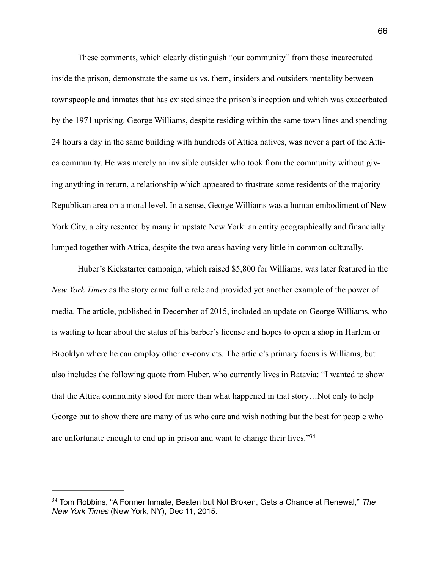These comments, which clearly distinguish "our community" from those incarcerated inside the prison, demonstrate the same us vs. them, insiders and outsiders mentality between townspeople and inmates that has existed since the prison's inception and which was exacerbated by the 1971 uprising. George Williams, despite residing within the same town lines and spending 24 hours a day in the same building with hundreds of Attica natives, was never a part of the Attica community. He was merely an invisible outsider who took from the community without giving anything in return, a relationship which appeared to frustrate some residents of the majority Republican area on a moral level. In a sense, George Williams was a human embodiment of New York City, a city resented by many in upstate New York: an entity geographically and financially lumped together with Attica, despite the two areas having very little in common culturally.

 Huber's Kickstarter campaign, which raised \$5,800 for Williams, was later featured in the *New York Times* as the story came full circle and provided yet another example of the power of media. The article, published in December of 2015, included an update on George Williams, who is waiting to hear about the status of his barber's license and hopes to open a shop in Harlem or Brooklyn where he can employ other ex-convicts. The article's primary focus is Williams, but also includes the following quote from Huber, who currently lives in Batavia: "I wanted to show that the Attica community stood for more than what happened in that story…Not only to help George but to show there are many of us who care and wish nothing but the best for people who are unfortunate enough to end up in prison and want to change their lives.["34](#page-68-0)

<span id="page-68-1"></span><span id="page-68-0"></span><sup>&</sup>lt;sup>[34](#page-68-1)</sup> Tom Robbins, "A Former Inmate, Beaten but Not Broken, Gets a Chance at Renewal," The *New York Times* (New York, NY), Dec 11, 2015.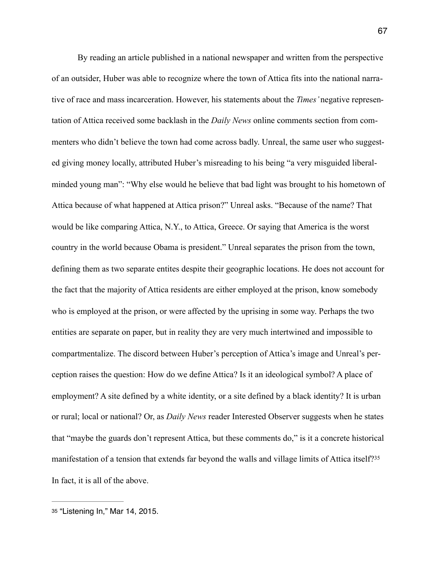By reading an article published in a national newspaper and written from the perspective of an outsider, Huber was able to recognize where the town of Attica fits into the national narrative of race and mass incarceration. However, his statements about the *Times'* negative representation of Attica received some backlash in the *Daily News* online comments section from commenters who didn't believe the town had come across badly. Unreal, the same user who suggested giving money locally, attributed Huber's misreading to his being "a very misguided liberalminded young man": "Why else would he believe that bad light was brought to his hometown of Attica because of what happened at Attica prison?" Unreal asks. "Because of the name? That would be like comparing Attica, N.Y., to Attica, Greece. Or saying that America is the worst country in the world because Obama is president." Unreal separates the prison from the town, defining them as two separate entites despite their geographic locations. He does not account for the fact that the majority of Attica residents are either employed at the prison, know somebody who is employed at the prison, or were affected by the uprising in some way. Perhaps the two entities are separate on paper, but in reality they are very much intertwined and impossible to compartmentalize. The discord between Huber's perception of Attica's image and Unreal's perception raises the question: How do we define Attica? Is it an ideological symbol? A place of employment? A site defined by a white identity, or a site defined by a black identity? It is urban or rural; local or national? Or, as *Daily News* reader Interested Observer suggests when he states that "maybe the guards don't represent Attica, but these comments do," is it a concrete historical manifestation of a tension that extends far beyond the walls and village limits of Attica itself?[35](#page-69-0) In fact, it is all of the above.

<span id="page-69-1"></span><span id="page-69-0"></span>[<sup>35</sup>](#page-69-1) "Listening In," Mar 14, 2015.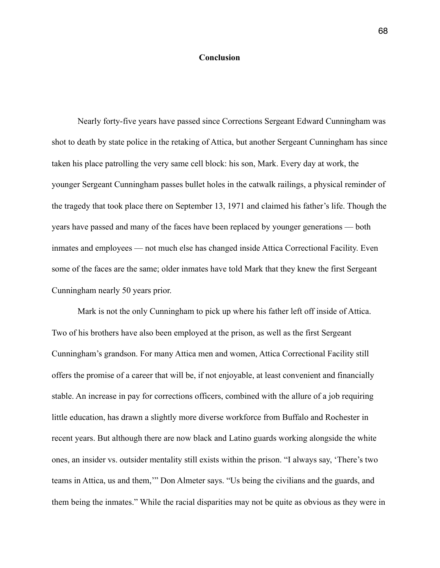## **Conclusion**

 Nearly forty-five years have passed since Corrections Sergeant Edward Cunningham was shot to death by state police in the retaking of Attica, but another Sergeant Cunningham has since taken his place patrolling the very same cell block: his son, Mark. Every day at work, the younger Sergeant Cunningham passes bullet holes in the catwalk railings, a physical reminder of the tragedy that took place there on September 13, 1971 and claimed his father's life. Though the years have passed and many of the faces have been replaced by younger generations — both inmates and employees — not much else has changed inside Attica Correctional Facility. Even some of the faces are the same; older inmates have told Mark that they knew the first Sergeant Cunningham nearly 50 years prior.

 Mark is not the only Cunningham to pick up where his father left off inside of Attica. Two of his brothers have also been employed at the prison, as well as the first Sergeant Cunningham's grandson. For many Attica men and women, Attica Correctional Facility still offers the promise of a career that will be, if not enjoyable, at least convenient and financially stable. An increase in pay for corrections officers, combined with the allure of a job requiring little education, has drawn a slightly more diverse workforce from Buffalo and Rochester in recent years. But although there are now black and Latino guards working alongside the white ones, an insider vs. outsider mentality still exists within the prison. "I always say, 'There's two teams in Attica, us and them,'" Don Almeter says. "Us being the civilians and the guards, and them being the inmates." While the racial disparities may not be quite as obvious as they were in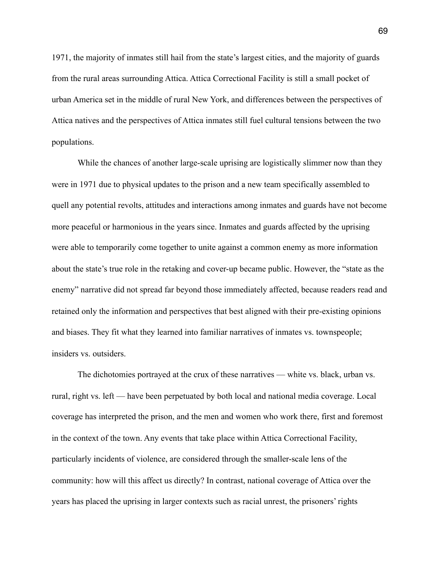1971, the majority of inmates still hail from the state's largest cities, and the majority of guards from the rural areas surrounding Attica. Attica Correctional Facility is still a small pocket of urban America set in the middle of rural New York, and differences between the perspectives of Attica natives and the perspectives of Attica inmates still fuel cultural tensions between the two populations.

 While the chances of another large-scale uprising are logistically slimmer now than they were in 1971 due to physical updates to the prison and a new team specifically assembled to quell any potential revolts, attitudes and interactions among inmates and guards have not become more peaceful or harmonious in the years since. Inmates and guards affected by the uprising were able to temporarily come together to unite against a common enemy as more information about the state's true role in the retaking and cover-up became public. However, the "state as the enemy" narrative did not spread far beyond those immediately affected, because readers read and retained only the information and perspectives that best aligned with their pre-existing opinions and biases. They fit what they learned into familiar narratives of inmates vs. townspeople; insiders vs. outsiders.

 The dichotomies portrayed at the crux of these narratives — white vs. black, urban vs. rural, right vs. left — have been perpetuated by both local and national media coverage. Local coverage has interpreted the prison, and the men and women who work there, first and foremost in the context of the town. Any events that take place within Attica Correctional Facility, particularly incidents of violence, are considered through the smaller-scale lens of the community: how will this affect us directly? In contrast, national coverage of Attica over the years has placed the uprising in larger contexts such as racial unrest, the prisoners' rights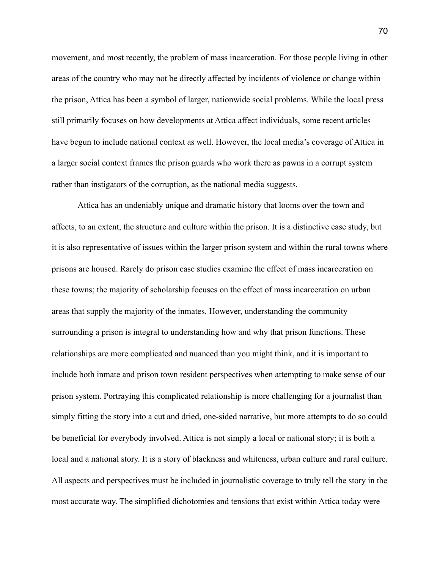movement, and most recently, the problem of mass incarceration. For those people living in other areas of the country who may not be directly affected by incidents of violence or change within the prison, Attica has been a symbol of larger, nationwide social problems. While the local press still primarily focuses on how developments at Attica affect individuals, some recent articles have begun to include national context as well. However, the local media's coverage of Attica in a larger social context frames the prison guards who work there as pawns in a corrupt system rather than instigators of the corruption, as the national media suggests.

 Attica has an undeniably unique and dramatic history that looms over the town and affects, to an extent, the structure and culture within the prison. It is a distinctive case study, but it is also representative of issues within the larger prison system and within the rural towns where prisons are housed. Rarely do prison case studies examine the effect of mass incarceration on these towns; the majority of scholarship focuses on the effect of mass incarceration on urban areas that supply the majority of the inmates. However, understanding the community surrounding a prison is integral to understanding how and why that prison functions. These relationships are more complicated and nuanced than you might think, and it is important to include both inmate and prison town resident perspectives when attempting to make sense of our prison system. Portraying this complicated relationship is more challenging for a journalist than simply fitting the story into a cut and dried, one-sided narrative, but more attempts to do so could be beneficial for everybody involved. Attica is not simply a local or national story; it is both a local and a national story. It is a story of blackness and whiteness, urban culture and rural culture. All aspects and perspectives must be included in journalistic coverage to truly tell the story in the most accurate way. The simplified dichotomies and tensions that exist within Attica today were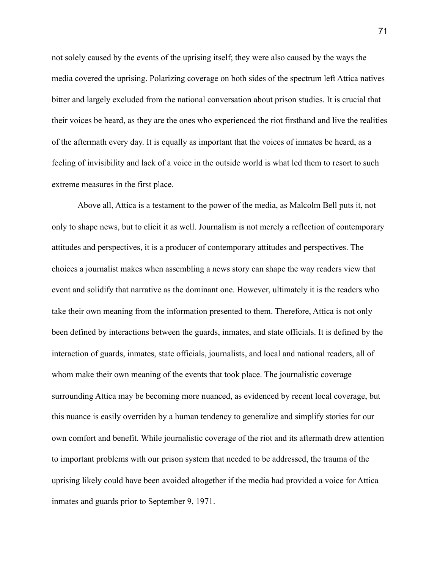not solely caused by the events of the uprising itself; they were also caused by the ways the media covered the uprising. Polarizing coverage on both sides of the spectrum left Attica natives bitter and largely excluded from the national conversation about prison studies. It is crucial that their voices be heard, as they are the ones who experienced the riot firsthand and live the realities of the aftermath every day. It is equally as important that the voices of inmates be heard, as a feeling of invisibility and lack of a voice in the outside world is what led them to resort to such extreme measures in the first place.

 Above all, Attica is a testament to the power of the media, as Malcolm Bell puts it, not only to shape news, but to elicit it as well. Journalism is not merely a reflection of contemporary attitudes and perspectives, it is a producer of contemporary attitudes and perspectives. The choices a journalist makes when assembling a news story can shape the way readers view that event and solidify that narrative as the dominant one. However, ultimately it is the readers who take their own meaning from the information presented to them. Therefore, Attica is not only been defined by interactions between the guards, inmates, and state officials. It is defined by the interaction of guards, inmates, state officials, journalists, and local and national readers, all of whom make their own meaning of the events that took place. The journalistic coverage surrounding Attica may be becoming more nuanced, as evidenced by recent local coverage, but this nuance is easily overriden by a human tendency to generalize and simplify stories for our own comfort and benefit. While journalistic coverage of the riot and its aftermath drew attention to important problems with our prison system that needed to be addressed, the trauma of the uprising likely could have been avoided altogether if the media had provided a voice for Attica inmates and guards prior to September 9, 1971.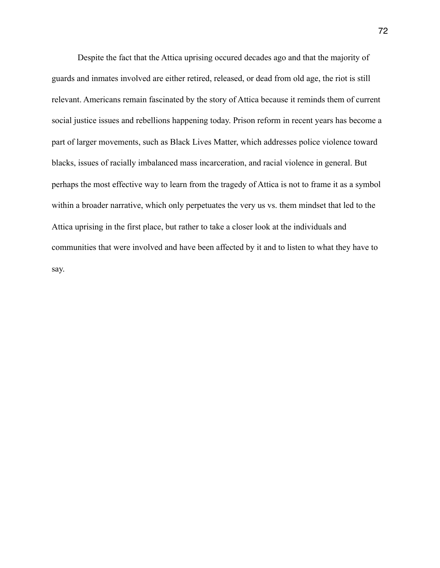Despite the fact that the Attica uprising occured decades ago and that the majority of guards and inmates involved are either retired, released, or dead from old age, the riot is still relevant. Americans remain fascinated by the story of Attica because it reminds them of current social justice issues and rebellions happening today. Prison reform in recent years has become a part of larger movements, such as Black Lives Matter, which addresses police violence toward blacks, issues of racially imbalanced mass incarceration, and racial violence in general. But perhaps the most effective way to learn from the tragedy of Attica is not to frame it as a symbol within a broader narrative, which only perpetuates the very us vs. them mindset that led to the Attica uprising in the first place, but rather to take a closer look at the individuals and communities that were involved and have been affected by it and to listen to what they have to say.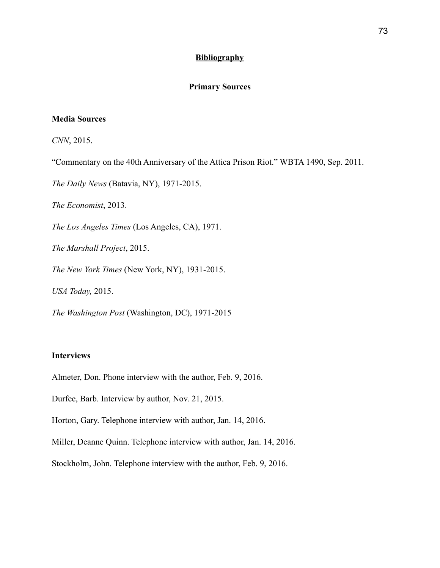## **Bibliography**

# **Primary Sources**

## **Media Sources**

*CNN*, 2015.

"Commentary on the 40th Anniversary of the Attica Prison Riot." WBTA 1490, Sep. 2011.

*The Daily News* (Batavia, NY), 1971-2015.

*The Economist*, 2013.

*The Los Angeles Times* (Los Angeles, CA), 1971.

*The Marshall Project*, 2015.

*The New York Times* (New York, NY), 1931-2015.

*USA Today,* 2015.

*The Washington Post* (Washington, DC), 1971-2015

## **Interviews**

Almeter, Don. Phone interview with the author, Feb. 9, 2016.

Durfee, Barb. Interview by author, Nov. 21, 2015.

Horton, Gary. Telephone interview with author, Jan. 14, 2016.

Miller, Deanne Quinn. Telephone interview with author, Jan. 14, 2016.

Stockholm, John. Telephone interview with the author, Feb. 9, 2016.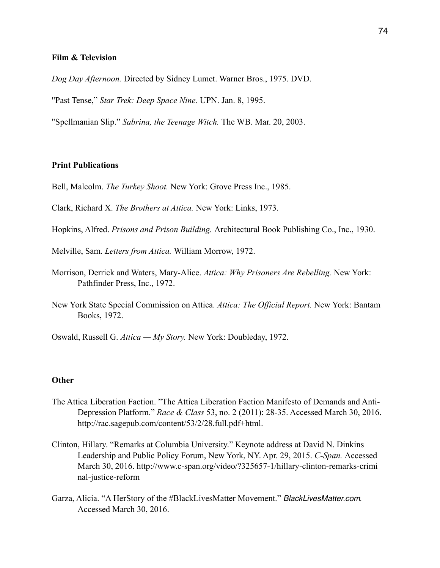#### **Film & Television**

*Dog Day Afternoon.* Directed by Sidney Lumet. Warner Bros., 1975. DVD.

"Past Tense," *Star Trek: Deep Space Nine.* UPN. Jan. 8, 1995.

"Spellmanian Slip." *Sabrina, the Teenage Witch.* The WB. Mar. 20, 2003.

## **Print Publications**

- Bell, Malcolm. *The Turkey Shoot.* New York: Grove Press Inc., 1985.
- Clark, Richard X. *The Brothers at Attica.* New York: Links, 1973.
- Hopkins, Alfred. *Prisons and Prison Building.* Architectural Book Publishing Co., Inc., 1930.
- Melville, Sam. *Letters from Attica.* William Morrow, 1972.
- Morrison, Derrick and Waters, Mary-Alice. *Attica: Why Prisoners Are Rebelling.* New York: Pathfinder Press, Inc., 1972.
- New York State Special Commission on Attica. *Attica: The Official Report.* New York: Bantam Books, 1972.
- Oswald, Russell G. *Attica My Story.* New York: Doubleday, 1972.

## **Other**

- The Attica Liberation Faction. "The Attica Liberation Faction Manifesto of Demands and Anti- Depression Platform." *Race & Class* 53, no. 2 (2011): 28-35. Accessed March 30, 2016. http://rac.sagepub.com/content/53/2/28.full.pdf+html.
- Clinton, Hillary. "Remarks at Columbia University." Keynote address at David N. Dinkins Leadership and Public Policy Forum, New York, NY. Apr. 29, 2015. *C-Span.* Accessed March 30, 2016. http://www.c-span.org/video/?325657-1/hillary-clinton-remarks-crimi nal-justice-reform
- Garza, Alicia. "A HerStory of the #BlackLivesMatter Movement." *BlackLivesMatter.com.*  Accessed March 30, 2016.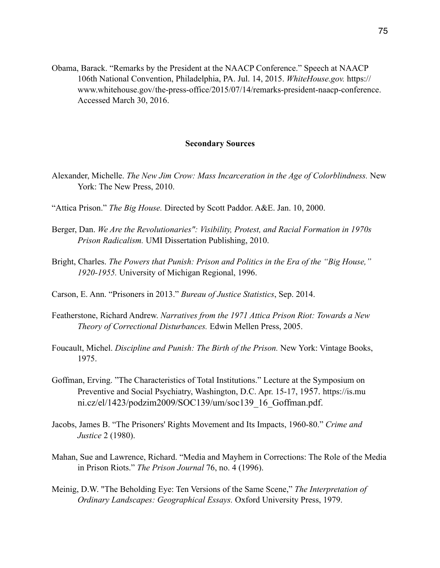Obama, Barack. "Remarks by the President at the NAACP Conference." Speech at NAACP 106th National Convention, Philadelphia, PA. Jul. 14, 2015. *WhiteHouse.gov.* https:// www.whitehouse.gov/ the-press-office/2015/07/14/remarks-president-naacp-conference. Accessed March 30, 2016.

#### **Secondary Sources**

- Alexander, Michelle. *The New Jim Crow: Mass Incarceration in the Age of Colorblindness.* New York: The New Press, 2010.
- "Attica Prison." *The Big House.* Directed by Scott Paddor. A&E. Jan. 10, 2000.
- Berger, Dan. *We Are the Revolutionaries": Visibility, Protest, and Racial Formation in 1970s Prison Radicalism.* UMI Dissertation Publishing, 2010.
- Bright, Charles. *The Powers that Punish: Prison and Politics in the Era of the "Big House," 1920-1955.* University of Michigan Regional, 1996.
- Carson, E. Ann. "Prisoners in 2013." *Bureau of Justice Statistics*, Sep. 2014.
- Featherstone, Richard Andrew. *Narratives from the 1971 Attica Prison Riot: Towards a New Theory of Correctional Disturbances.* Edwin Mellen Press, 2005.
- Foucault, Michel. *Discipline and Punish: The Birth of the Prison.* New York: Vintage Books, 1975.
- Goffman, Erving. "The Characteristics of Total Institutions." Lecture at the Symposium on Preventive and Social Psychiatry, Washington, D.C. Apr. 15-17, 1957. https://is.mu ni.cz/el/1423/podzim2009/SOC139/um/soc139\_16\_Goffman.pdf.
- Jacobs, James B. "The Prisoners' Rights Movement and Its Impacts, 1960-80." *Crime and Justice* 2 (1980).
- Mahan, Sue and Lawrence, Richard. "Media and Mayhem in Corrections: The Role of the Media in Prison Riots." *The Prison Journal* 76, no. 4 (1996).
- Meinig, D.W. "The Beholding Eye: Ten Versions of the Same Scene," *The Interpretation of Ordinary Landscapes: Geographical Essays.* Oxford University Press, 1979.